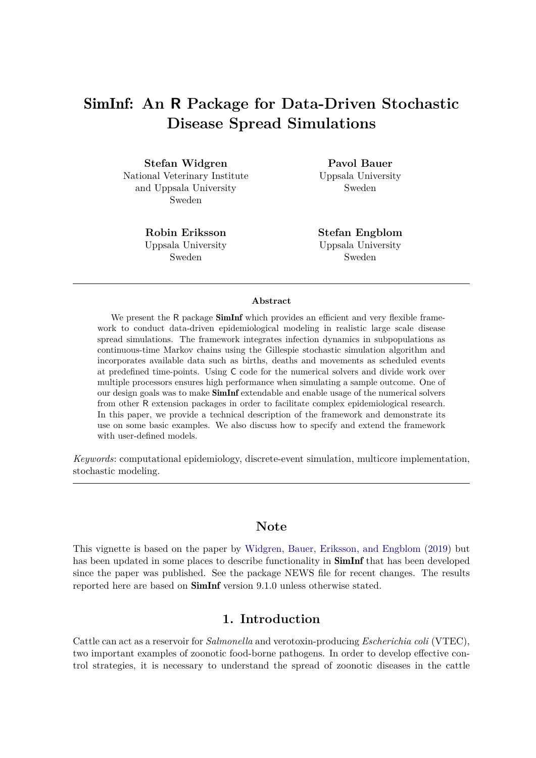# SimInf**: An R Package for Data-Driven Stochastic Disease Spread Simulations**

**Stefan Widgren** National Veterinary Institute and Uppsala University Sweden

> **Robin Eriksson** Uppsala University Sweden

**Pavol Bauer** Uppsala University Sweden

**Stefan Engblom** Uppsala University Sweden

#### **Abstract**

We present the R package **SimInf** which provides an efficient and very flexible framework to conduct data-driven epidemiological modeling in realistic large scale disease spread simulations. The framework integrates infection dynamics in subpopulations as continuous-time Markov chains using the Gillespie stochastic simulation algorithm and incorporates available data such as births, deaths and movements as scheduled events at predefined time-points. Using C code for the numerical solvers and divide work over multiple processors ensures high performance when simulating a sample outcome. One of our design goals was to make SimInf extendable and enable usage of the numerical solvers from other R extension packages in order to facilitate complex epidemiological research. In this paper, we provide a technical description of the framework and demonstrate its use on some basic examples. We also discuss how to specify and extend the framework with user-defined models.

*Keywords*: computational epidemiology, discrete-event simulation, multicore implementation, stochastic modeling.

# **Note**

This vignette is based on the paper by [Widgren, Bauer, Eriksson, and Engblom](#page-35-0) [\(2019\)](#page-35-0) but has been updated in some places to describe functionality in **SimInf** that has been developed since the paper was published. See the package NEWS file for recent changes. The results reported here are based on SimInf version 9.1.0 unless otherwise stated.

### **1. Introduction**

Cattle can act as a reservoir for *Salmonella* and verotoxin-producing *Escherichia coli* (VTEC), two important examples of zoonotic food-borne pathogens. In order to develop effective control strategies, it is necessary to understand the spread of zoonotic diseases in the cattle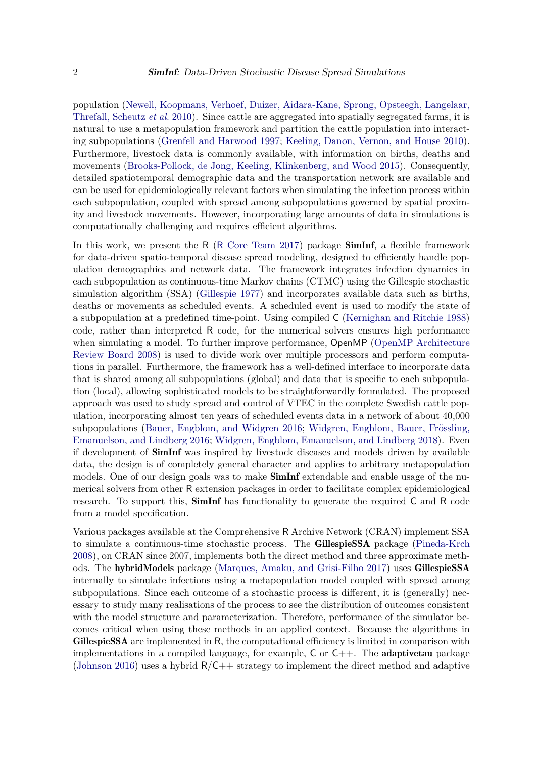population [\(Newell, Koopmans, Verhoef, Duizer, Aidara-Kane, Sprong, Opsteegh, Langelaar,](#page-34-0) [Threfall, Scheutz](#page-34-0) *et al.* [2010\)](#page-34-0). Since cattle are aggregated into spatially segregated farms, it is natural to use a metapopulation framework and partition the cattle population into interacting subpopulations [\(Grenfell and Harwood 1997;](#page-33-0) [Keeling, Danon, Vernon, and House 2010\)](#page-33-1). Furthermore, livestock data is commonly available, with information on births, deaths and movements [\(Brooks-Pollock, de Jong, Keeling, Klinkenberg, and Wood 2015\)](#page-32-0). Consequently, detailed spatiotemporal demographic data and the transportation network are available and can be used for epidemiologically relevant factors when simulating the infection process within each subpopulation, coupled with spread among subpopulations governed by spatial proximity and livestock movements. However, incorporating large amounts of data in simulations is computationally challenging and requires efficient algorithms.

In this work, we present the R (R [Core Team 2017\)](#page-34-1) package **SimInf**, a flexible framework for data-driven spatio-temporal disease spread modeling, designed to efficiently handle population demographics and network data. The framework integrates infection dynamics in each subpopulation as continuous-time Markov chains (CTMC) using the Gillespie stochastic simulation algorithm (SSA) [\(Gillespie 1977\)](#page-33-2) and incorporates available data such as births, deaths or movements as scheduled events. A scheduled event is used to modify the state of a subpopulation at a predefined time-point. Using compiled C [\(Kernighan and Ritchie 1988\)](#page-34-2) code, rather than interpreted R code, for the numerical solvers ensures high performance when simulating a model. To further improve performance, OpenMP [\(OpenMP Architecture](#page-34-3) [Review Board 2008\)](#page-34-3) is used to divide work over multiple processors and perform computations in parallel. Furthermore, the framework has a well-defined interface to incorporate data that is shared among all subpopulations (global) and data that is specific to each subpopulation (local), allowing sophisticated models to be straightforwardly formulated. The proposed approach was used to study spread and control of VTEC in the complete Swedish cattle population, incorporating almost ten years of scheduled events data in a network of about 40,000 subpopulations [\(Bauer, Engblom, and Widgren 2016;](#page-32-1) [Widgren, Engblom, Bauer, Frössling,](#page-35-1) [Emanuelson, and Lindberg 2016;](#page-35-1) [Widgren, Engblom, Emanuelson, and Lindberg 2018\)](#page-35-2). Even if development of SimInf was inspired by livestock diseases and models driven by available data, the design is of completely general character and applies to arbitrary metapopulation models. One of our design goals was to make **SimInf** extendable and enable usage of the numerical solvers from other R extension packages in order to facilitate complex epidemiological research. To support this, **SimInf** has functionality to generate the required  $C$  and  $R$  code from a model specification.

Various packages available at the Comprehensive R Archive Network (CRAN) implement SSA to simulate a continuous-time stochastic process. The GillespieSSA package [\(Pineda-Krch](#page-34-4) [2008\)](#page-34-4), on CRAN since 2007, implements both the direct method and three approximate methods. The hybridModels package [\(Marques, Amaku, and Grisi-Filho 2017\)](#page-34-5) uses GillespieSSA internally to simulate infections using a metapopulation model coupled with spread among subpopulations. Since each outcome of a stochastic process is different, it is (generally) necessary to study many realisations of the process to see the distribution of outcomes consistent with the model structure and parameterization. Therefore, performance of the simulator becomes critical when using these methods in an applied context. Because the algorithms in GillespieSSA are implemented in R, the computational efficiency is limited in comparison with implementations in a compiled language, for example,  $C$  or  $C++$ . The **adaptivetau** package [\(Johnson 2016\)](#page-33-3) uses a hybrid  $R/C++$  strategy to implement the direct method and adaptive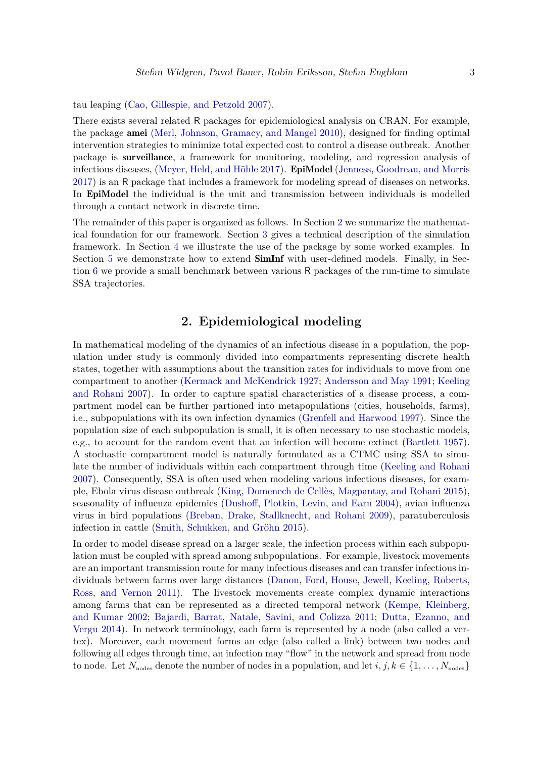tau leaping [\(Cao, Gillespie, and Petzold 2007\)](#page-32-2).

There exists several related R packages for epidemiological analysis on CRAN. For example, the package amei [\(Merl, Johnson, Gramacy, and Mangel 2010\)](#page-34-6), designed for finding optimal intervention strategies to minimize total expected cost to control a disease outbreak. Another package is surveillance, a framework for monitoring, modeling, and regression analysis of infectious diseases, [\(Meyer, Held, and Höhle 2017\)](#page-34-7). EpiModel [\(Jenness, Goodreau, and Morris](#page-33-4) [2017\)](#page-33-4) is an R package that includes a framework for modeling spread of diseases on networks. In EpiModel the individual is the unit and transmission between individuals is modelled through a contact network in discrete time.

The remainder of this paper is organized as follows. In Section [2](#page-2-0) we summarize the mathematical foundation for our framework. Section [3](#page-6-0) gives a technical description of the simulation framework. In Section [4](#page-14-0) we illustrate the use of the package by some worked examples. In Section [5](#page-21-0) we demonstrate how to extend **SimInf** with user-defined models. Finally, in Section [6](#page-30-0) we provide a small benchmark between various R packages of the run-time to simulate SSA trajectories.

# **2. Epidemiological modeling**

<span id="page-2-0"></span>In mathematical modeling of the dynamics of an infectious disease in a population, the population under study is commonly divided into compartments representing discrete health states, together with assumptions about the transition rates for individuals to move from one compartment to another [\(Kermack and McKendrick 1927;](#page-34-8) [Andersson and May 1991;](#page-32-3) [Keeling](#page-33-5) [and Rohani 2007\)](#page-33-5). In order to capture spatial characteristics of a disease process, a compartment model can be further partioned into metapopulations (cities, households, farms), i.e., subpopulations with its own infection dynamics [\(Grenfell and Harwood 1997\)](#page-33-0). Since the population size of each subpopulation is small, it is often necessary to use stochastic models, e.g., to account for the random event that an infection will become extinct [\(Bartlett 1957\)](#page-32-4). A stochastic compartment model is naturally formulated as a CTMC using SSA to simulate the number of individuals within each compartment through time [\(Keeling and Rohani](#page-33-5) [2007\)](#page-33-5). Consequently, SSA is often used when modeling various infectious diseases, for example, Ebola virus disease outbreak [\(King, Domenech de Cellès, Magpantay, and Rohani 2015\)](#page-34-9), seasonality of influenza epidemics [\(Dushoff, Plotkin, Levin, and Earn 2004\)](#page-32-5), avian influenza virus in bird populations [\(Breban, Drake, Stallknecht, and Rohani 2009\)](#page-32-6), paratuberculosis infection in cattle [\(Smith, Schukken, and Gröhn 2015\)](#page-34-10).

In order to model disease spread on a larger scale, the infection process within each subpopulation must be coupled with spread among subpopulations. For example, livestock movements are an important transmission route for many infectious diseases and can transfer infectious individuals between farms over large distances [\(Danon, Ford, House, Jewell, Keeling, Roberts,](#page-32-7) [Ross, and Vernon 2011\)](#page-32-7). The livestock movements create complex dynamic interactions among farms that can be represented as a directed temporal network [\(Kempe, Kleinberg,](#page-33-6) [and Kumar 2002;](#page-33-6) [Bajardi, Barrat, Natale, Savini, and Colizza 2011;](#page-32-8) [Dutta, Ezanno, and](#page-33-7) [Vergu 2014\)](#page-33-7). In network terminology, each farm is represented by a node (also called a vertex). Moreover, each movement forms an edge (also called a link) between two nodes and following all edges through time, an infection may "flow" in the network and spread from node to node. Let  $N_{\text{nodes}}$  denote the number of nodes in a population, and let  $i, j, k \in \{1, \ldots, N_{\text{nodes}}\}$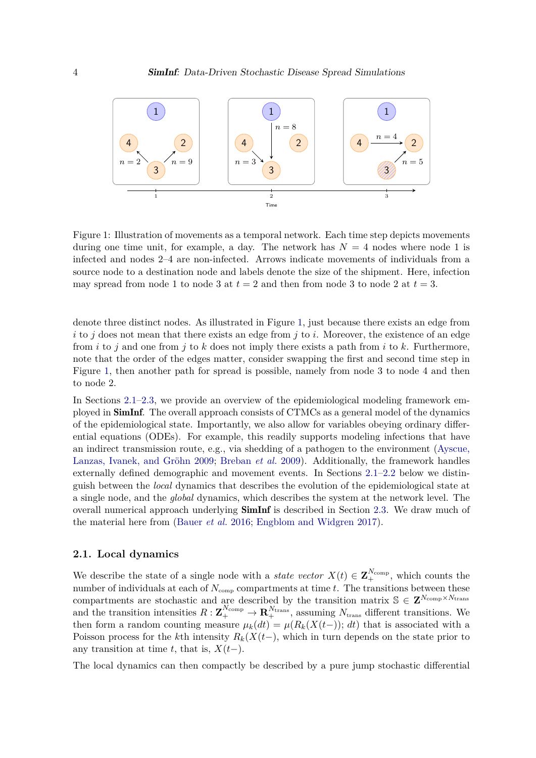<span id="page-3-0"></span>

Figure 1: Illustration of movements as a temporal network. Each time step depicts movements during one time unit, for example, a day. The network has  $N = 4$  nodes where node 1 is infected and nodes 2–4 are non-infected. Arrows indicate movements of individuals from a source node to a destination node and labels denote the size of the shipment. Here, infection may spread from node 1 to node 3 at  $t = 2$  and then from node 3 to node 2 at  $t = 3$ .

denote three distinct nodes. As illustrated in Figure [1,](#page-3-0) just because there exists an edge from  $i$  to  $j$  does not mean that there exists an edge from  $j$  to  $i$ . Moreover, the existence of an edge from *i* to *j* and one from *j* to *k* does not imply there exists a path from *i* to *k*. Furthermore, note that the order of the edges matter, consider swapping the first and second time step in Figure [1,](#page-3-0) then another path for spread is possible, namely from node 3 to node 4 and then to node 2.

In Sections [2.1–](#page-3-1)[2.3,](#page-5-0) we provide an overview of the epidemiological modeling framework employed in SimInf. The overall approach consists of CTMCs as a general model of the dynamics of the epidemiological state. Importantly, we also allow for variables obeying ordinary differential equations (ODEs). For example, this readily supports modeling infections that have an indirect transmission route, e.g., via shedding of a pathogen to the environment [\(Ayscue,](#page-32-9) [Lanzas, Ivanek, and Gröhn 2009;](#page-32-9) [Breban](#page-32-6) *et al.* [2009\)](#page-32-6). Additionally, the framework handles externally defined demographic and movement events. In Sections [2.1](#page-3-1)[–2.2](#page-5-1) below we distinguish between the *local* dynamics that describes the evolution of the epidemiological state at a single node, and the *global* dynamics, which describes the system at the network level. The overall numerical approach underlying **SimInf** is described in Section [2.3.](#page-5-0) We draw much of the material here from [\(Bauer](#page-32-1) *et al.* [2016;](#page-32-1) [Engblom and Widgren 2017\)](#page-33-8).

#### <span id="page-3-1"></span>**2.1. Local dynamics**

We describe the state of a single node with a *state vector*  $X(t) \in \mathbf{Z}_{+}^{N_{\text{comp}}}$ , which counts the number of individuals at each of  $N_{\text{comp}}$  compartments at time  $\vec{t}$ . The transitions between these compartments are stochastic and are described by the transition matrix  $\mathcal{S} \in \mathbf{Z}^{N_{\text{comp}} \times N_{\text{trans}}}$ and the transition intensities  $R: \mathbf{Z}_{+}^{N_{\text{temp}}} \to \mathbf{R}_{+}^{N_{\text{trans}}}$ , assuming  $N_{\text{trans}}$  different transitions. We then form a random counting measure  $\mu_k(dt) = \mu(R_k(X(t-)); dt)$  that is associated with a Poisson process for the *k*th intensity  $R_k(X(t-))$ , which in turn depends on the state prior to any transition at time *t*, that is,  $X(t-)$ .

The local dynamics can then compactly be described by a pure jump stochastic differential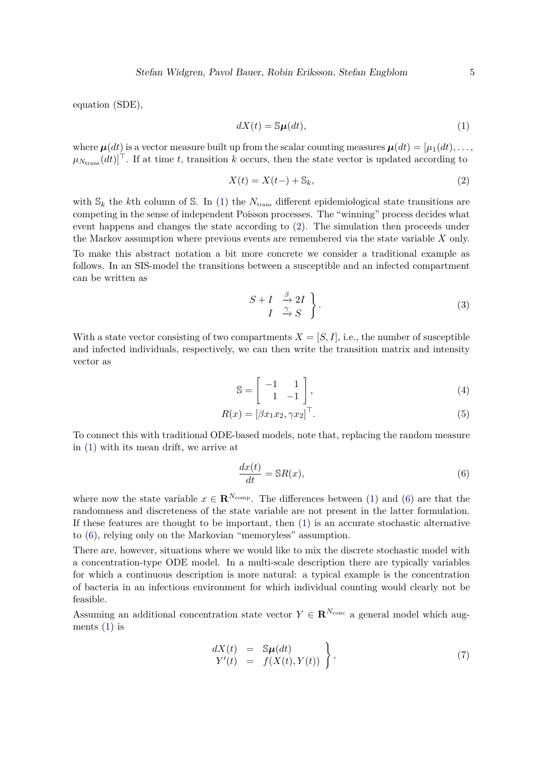equation (SDE),

<span id="page-4-1"></span><span id="page-4-0"></span>
$$
dX(t) = \mathbb{S}\mu(dt),\tag{1}
$$

where  $\mu(dt)$  is a vector measure built up from the scalar counting measures  $\mu(dt) = [\mu_1(dt), \dots,$  $\mu_{N_{\text{trans}}}(dt)$ <sup>T</sup>. If at time *t*, transition *k* occurs, then the state vector is updated according to

$$
X(t) = X(t-) + \mathbb{S}_k,\tag{2}
$$

with  $\mathcal{S}_k$  the *k*th column of  $\mathcal{S}$ . In [\(1\)](#page-4-0) the  $N_{trans}$  different epidemiological state transitions are competing in the sense of independent Poisson processes. The "winning" process decides what event happens and changes the state according to [\(2\)](#page-4-1). The simulation then proceeds under the Markov assumption where previous events are remembered via the state variable *X* only. To make this abstract notation a bit more concrete we consider a traditional example as follows. In an SIS-model the transitions between a susceptible and an infected compartment can be written as

$$
\begin{array}{c}\nS+I \quad \xrightarrow{\beta} 2I \\
I \quad \xrightarrow{\gamma} S\n\end{array} \bigg\}.
$$
\n(3)

With a state vector consisting of two compartments  $X = [S, I]$ , i.e., the number of susceptible and infected individuals, respectively, we can then write the transition matrix and intensity vector as

$$
\mathbb{S} = \left[ \begin{array}{cc} -1 & 1 \\ 1 & -1 \end{array} \right],\tag{4}
$$

$$
R(x) = [\beta x_1 x_2, \gamma x_2]^\top. \tag{5}
$$

To connect this with traditional ODE-based models, note that, replacing the random measure in [\(1\)](#page-4-0) with its mean drift, we arrive at

<span id="page-4-2"></span>
$$
\frac{dx(t)}{dt} = \mathbb{S}R(x),\tag{6}
$$

where now the state variable  $x \in \mathbb{R}^{N_{\text{comp}}}$ . The differences between [\(1\)](#page-4-0) and [\(6\)](#page-4-2) are that the randomness and discreteness of the state variable are not present in the latter formulation. If these features are thought to be important, then [\(1\)](#page-4-0) is an accurate stochastic alternative to [\(6\)](#page-4-2), relying only on the Markovian "memoryless" assumption.

There are, however, situations where we would like to mix the discrete stochastic model with a concentration-type ODE model. In a multi-scale description there are typically variables for which a continuous description is more natural: a typical example is the concentration of bacteria in an infectious environment for which individual counting would clearly not be feasible.

Assuming an additional concentration state vector  $Y \in \mathbb{R}^{N_{\text{conc}}}$  a general model which augments  $(1)$  is

<span id="page-4-3"></span>
$$
\begin{array}{rcl}\ndX(t) & = & \mathbb{S}\mu(dt) \\
Y'(t) & = & f(X(t), Y(t))\n\end{array}\n\bigg\},\tag{7}
$$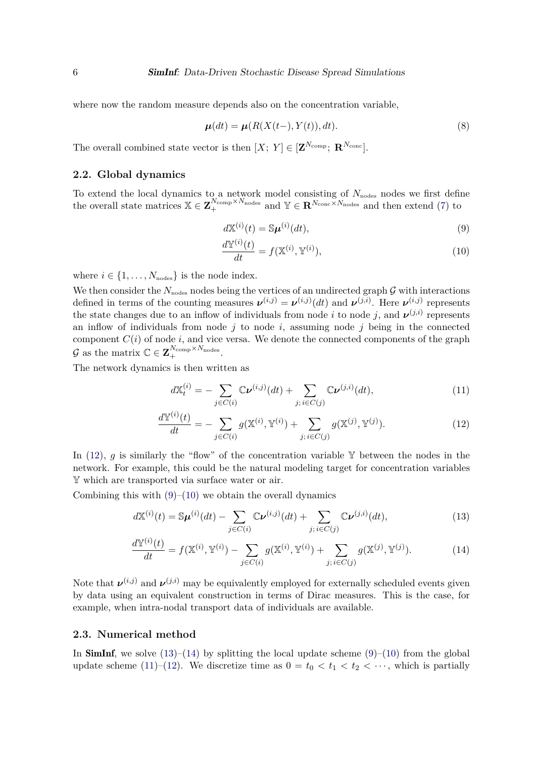where now the random measure depends also on the concentration variable,

$$
\mu(dt) = \mu(R(X(t-), Y(t)), dt). \tag{8}
$$

The overall combined state vector is then  $[X; Y] \in [\mathbf{Z}^{N_{\text{comp}}}; \mathbf{R}^{N_{\text{conc}}}]$ .

### <span id="page-5-1"></span>**2.2. Global dynamics**

To extend the local dynamics to a network model consisting of  $N_{\text{nodes}}$  nodes we first define the overall state matrices  $X \in \mathbf{Z}_{+}^{N_{\text{comp}} \times N_{\text{nodes}}}$  and  $Y \in \mathbf{R}^{N_{\text{cone}} \times N_{\text{nodes}}}$  and then extend [\(7\)](#page-4-3) to

$$
d\mathbb{X}^{(i)}(t) = \mathbb{S}\boldsymbol{\mu}^{(i)}(dt),\tag{9}
$$

<span id="page-5-7"></span><span id="page-5-4"></span><span id="page-5-3"></span>
$$
\frac{d\mathbb{Y}^{(i)}(t)}{dt} = f(\mathbb{X}^{(i)}, \mathbb{Y}^{(i)}),\tag{10}
$$

where  $i \in \{1, \ldots, N_{\text{nodes}}\}$  is the node index.

We then consider the  $N_{nodes}$  nodes being the vertices of an undirected graph  $\mathcal G$  with interactions defined in terms of the counting measures  $v^{(i,j)} = v^{(i,j)}(dt)$  and  $v^{(j,i)}$ . Here  $v^{(i,j)}$  represents the state changes due to an inflow of individuals from node *i* to node *j*, and  $\nu^{(j,i)}$  represents an inflow of individuals from node *j* to node *i*, assuming node *j* being in the connected component  $C(i)$  of node *i*, and vice versa. We denote the connected components of the graph G as the matrix  $\mathbb{C} \in \mathbf{Z}_{+}^{N_{\text{comp}} \times N_{\text{nodes}}}.$ 

The network dynamics is then written as

<span id="page-5-5"></span><span id="page-5-2"></span>
$$
dX_t^{(i)} = -\sum_{j \in C(i)} \mathbb{C} \nu^{(i,j)}(dt) + \sum_{j; i \in C(j)} \mathbb{C} \nu^{(j,i)}(dt), \tag{11}
$$

<span id="page-5-6"></span>
$$
\frac{d\mathbb{Y}^{(i)}(t)}{dt} = -\sum_{j \in C(i)} g(\mathbb{X}^{(i)}, \mathbb{Y}^{(i)}) + \sum_{j; i \in C(j)} g(\mathbb{X}^{(j)}, \mathbb{Y}^{(j)}).
$$
(12)

In  $(12)$ , *g* is similarly the "flow" of the concentration variable Y between the nodes in the network. For example, this could be the natural modeling target for concentration variables Y which are transported via surface water or air.

Combining this with  $(9)$ – $(10)$  we obtain the overall dynamics

$$
d\mathbb{X}^{(i)}(t) = \mathbb{S}\boldsymbol{\mu}^{(i)}(dt) - \sum_{j \in C(i)} \mathbb{C}\boldsymbol{\nu}^{(i,j)}(dt) + \sum_{j; i \in C(j)} \mathbb{C}\boldsymbol{\nu}^{(j,i)}(dt),\tag{13}
$$

$$
\frac{d\mathbb{Y}^{(i)}(t)}{dt} = f(\mathbb{X}^{(i)}, \mathbb{Y}^{(i)}) - \sum_{j \in C(i)} g(\mathbb{X}^{(i)}, \mathbb{Y}^{(i)}) + \sum_{j; i \in C(j)} g(\mathbb{X}^{(j)}, \mathbb{Y}^{(j)}).
$$
(14)

Note that  $\nu^{(i,j)}$  and  $\nu^{(j,i)}$  may be equivalently employed for externally scheduled events given by data using an equivalent construction in terms of Dirac measures. This is the case, for example, when intra-nodal transport data of individuals are available.

#### <span id="page-5-0"></span>**2.3. Numerical method**

In **SimInf**, we solve  $(13)-(14)$  $(13)-(14)$  $(13)-(14)$  by splitting the local update scheme  $(9)-(10)$  $(9)-(10)$  $(9)-(10)$  from the global update scheme [\(11\)](#page-5-7)–[\(12\)](#page-5-2). We discretize time as  $0 = t_0 < t_1 < t_2 < \cdots$ , which is partially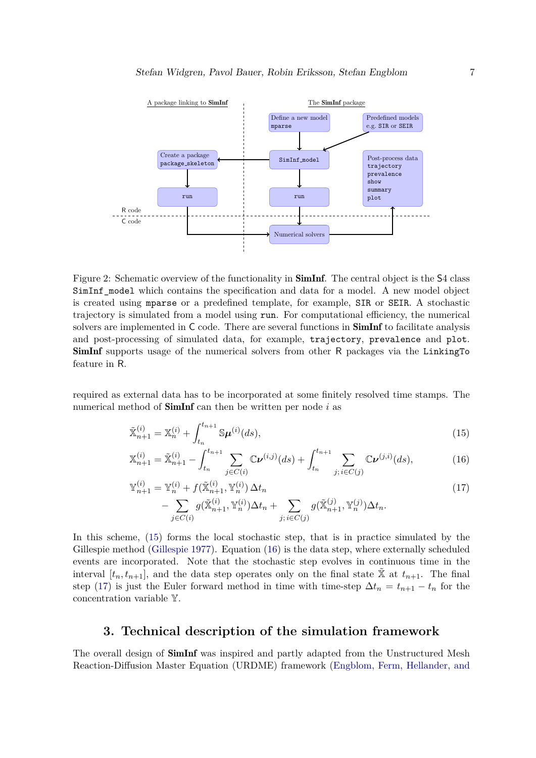<span id="page-6-4"></span>

Figure 2: Schematic overview of the functionality in **SimInf**. The central object is the S4 class SimInf model which contains the specification and data for a model. A new model object is created using mparse or a predefined template, for example, SIR or SEIR. A stochastic trajectory is simulated from a model using run. For computational efficiency, the numerical solvers are implemented in  $C$  code. There are several functions in  $\mathbf{SimInf}$  to facilitate analysis and post-processing of simulated data, for example, trajectory, prevalence and plot. SimInf supports usage of the numerical solvers from other R packages via the LinkingTo feature in R.

required as external data has to be incorporated at some finitely resolved time stamps. The numerical method of SimInf can then be written per node *i* as

<span id="page-6-1"></span>
$$
\tilde{\mathbb{X}}_{n+1}^{(i)} = \mathbb{X}_n^{(i)} + \int_{t_n}^{t_{n+1}} \mathbb{S} \mu^{(i)}(ds),\tag{15}
$$

<span id="page-6-2"></span>
$$
\mathbb{X}_{n+1}^{(i)} = \tilde{\mathbb{X}}_{n+1}^{(i)} - \int_{t_n}^{t_{n+1}} \sum_{j \in C(i)} \mathbb{C} \nu^{(i,j)}(ds) + \int_{t_n}^{t_{n+1}} \sum_{j; i \in C(j)} \mathbb{C} \nu^{(j,i)}(ds), \tag{16}
$$

<span id="page-6-3"></span>
$$
\mathbb{Y}_{n+1}^{(i)} = \mathbb{Y}_n^{(i)} + f(\tilde{\mathbb{X}}_{n+1}^{(i)}, \mathbb{Y}_n^{(i)}) \Delta t_n - \sum_{j \in C(i)} g(\tilde{\mathbb{X}}_{n+1}^{(i)}, \mathbb{Y}_n^{(i)}) \Delta t_n + \sum_{j; i \in C(j)} g(\tilde{\mathbb{X}}_{n+1}^{(j)}, \mathbb{Y}_n^{(j)}) \Delta t_n.
$$
\n(17)

In this scheme, [\(15\)](#page-6-1) forms the local stochastic step, that is in practice simulated by the Gillespie method [\(Gillespie 1977\)](#page-33-2). Equation [\(16\)](#page-6-2) is the data step, where externally scheduled events are incorporated. Note that the stochastic step evolves in continuous time in the interval  $[t_n, t_{n+1}]$ , and the data step operates only on the final state  $\tilde{X}$  at  $t_{n+1}$ . The final step [\(17\)](#page-6-3) is just the Euler forward method in time with time-step  $\Delta t_n = t_{n+1} - t_n$  for the concentration variable Y.

### **3. Technical description of the simulation framework**

<span id="page-6-0"></span>The overall design of SimInf was inspired and partly adapted from the Unstructured Mesh Reaction-Diffusion Master Equation (URDME) framework [\(Engblom, Ferm, Hellander, and](#page-33-9)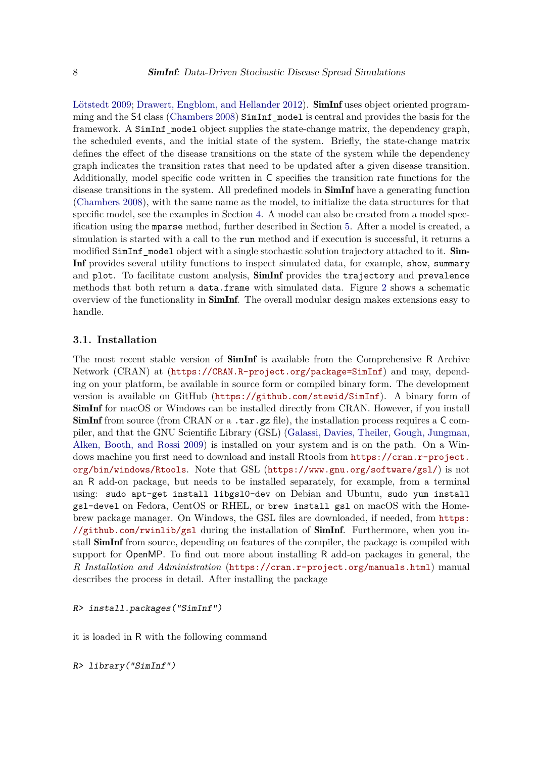[Lötstedt 2009;](#page-33-9) [Drawert, Engblom, and Hellander 2012\)](#page-32-10). **SimInf** uses object oriented programming and the S4 class [\(Chambers 2008\)](#page-32-11) SimInf\_model is central and provides the basis for the framework. A SimInf\_model object supplies the state-change matrix, the dependency graph, the scheduled events, and the initial state of the system. Briefly, the state-change matrix defines the effect of the disease transitions on the state of the system while the dependency graph indicates the transition rates that need to be updated after a given disease transition. Additionally, model specific code written in C specifies the transition rate functions for the disease transitions in the system. All predefined models in **SimInf** have a generating function [\(Chambers 2008\)](#page-32-11), with the same name as the model, to initialize the data structures for that specific model, see the examples in Section [4.](#page-14-0) A model can also be created from a model specification using the mparse method, further described in Section [5.](#page-21-0) After a model is created, a simulation is started with a call to the run method and if execution is successful, it returns a modified SimInf\_model object with a single stochastic solution trajectory attached to it. Sim-Inf provides several utility functions to inspect simulated data, for example, show, summary and plot. To facilitate custom analysis, SimInf provides the trajectory and prevalence methods that both return a data.frame with simulated data. Figure [2](#page-6-4) shows a schematic overview of the functionality in SimInf. The overall modular design makes extensions easy to handle.

#### **3.1. Installation**

The most recent stable version of **SimInf** is available from the Comprehensive R Archive Network (CRAN) at (<https://CRAN.R-project.org/package=SimInf>) and may, depending on your platform, be available in source form or compiled binary form. The development version is available on GitHub (<https://github.com/stewid/SimInf>). A binary form of SimInf for macOS or Windows can be installed directly from CRAN. However, if you install **SimInf** from source (from CRAN or a .tar.gz file), the installation process requires a  $C$  compiler, and that the GNU Scientific Library (GSL) [\(Galassi, Davies, Theiler, Gough, Jungman,](#page-33-10) [Alken, Booth, and Rossi 2009\)](#page-33-10) is installed on your system and is on the path. On a Windows machine you first need to download and install Rtools from [https://cran.r-project.](https://cran.r-project.org/bin/windows/Rtools) [org/bin/windows/Rtools](https://cran.r-project.org/bin/windows/Rtools). Note that GSL (<https://www.gnu.org/software/gsl/>) is not an R add-on package, but needs to be installed separately, for example, from a terminal using: sudo apt-get install libgsl0-dev on Debian and Ubuntu, sudo yum install gsl-devel on Fedora, CentOS or RHEL, or brew install gsl on macOS with the Homebrew package manager. On Windows, the GSL files are downloaded, if needed, from [https:](https://github.com/rwinlib/gsl) [//github.com/rwinlib/gsl](https://github.com/rwinlib/gsl) during the installation of  $SimInf$ . Furthermore, when you install SimInf from source, depending on features of the compiler, the package is compiled with support for OpenMP. To find out more about installing R add-on packages in general, the *R Installation and Administration* (<https://cran.r-project.org/manuals.html>) manual describes the process in detail. After installing the package

```
R> install.packages("SimInf")
```
it is loaded in R with the following command

```
R> library("SimInf")
```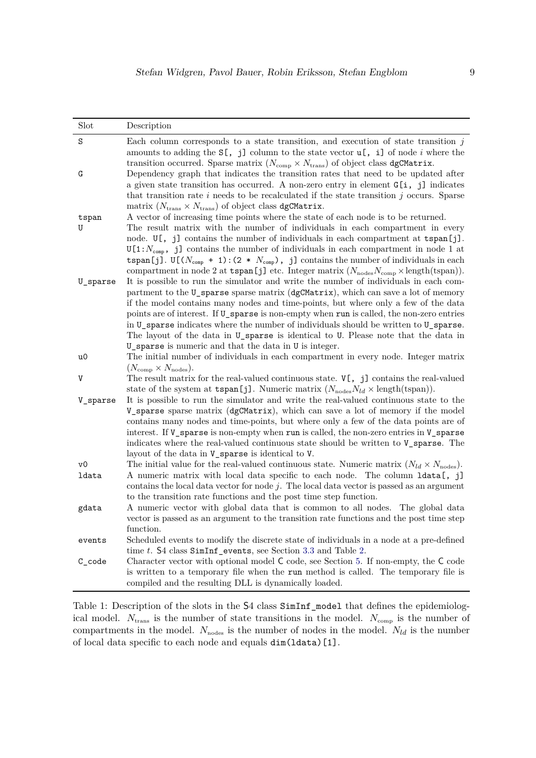<span id="page-8-0"></span>

| Slot     | Description                                                                                                                                                                                                                                                                                                                                                                                                                                                                                                    |
|----------|----------------------------------------------------------------------------------------------------------------------------------------------------------------------------------------------------------------------------------------------------------------------------------------------------------------------------------------------------------------------------------------------------------------------------------------------------------------------------------------------------------------|
| S        | Each column corresponds to a state transition, and execution of state transition $j$<br>amounts to adding the $S[, j]$ column to the state vector $u[, i]$ of node i where the<br>transition occurred. Sparse matrix $(N_{\text{comp}} \times N_{\text{trans}})$ of object class dgCMatrix.                                                                                                                                                                                                                    |
| G        | Dependency graph that indicates the transition rates that need to be updated after<br>a given state transition has occurred. A non-zero entry in element $G[i, j]$ indicates<br>that transition rate $i$ needs to be recalculated if the state transition $j$ occurs. Sparse<br>matrix ( $N_{\text{trans}} \times N_{\text{trans}}$ ) of object class dgCMatrix.                                                                                                                                               |
| tspan    | A vector of increasing time points where the state of each node is to be returned.                                                                                                                                                                                                                                                                                                                                                                                                                             |
| U        | The result matrix with the number of individuals in each compartment in every<br>node. $U[\, , \, j]$ contains the number of individuals in each compartment at $\text{tspan}[j]$ .                                                                                                                                                                                                                                                                                                                            |
| U_sparse | $U[1:N_{\text{comp}}$ , j] contains the number of individuals in each compartment in node 1 at<br>tspan[j]. U[( $N_{\text{comp}}$ + 1): (2 * $N_{\text{comp}}$ ), j] contains the number of individuals in each<br>compartment in node 2 at tspan[j] etc. Integer matrix $(N_{\text{nodes}}N_{\text{comp}} \times \text{length}(\text{tspan})).$<br>It is possible to run the simulator and write the number of individuals in each com-                                                                       |
|          | partment to the U_sparse sparse matrix (dgCMatrix), which can save a lot of memory<br>if the model contains many nodes and time-points, but where only a few of the data<br>points are of interest. If U_sparse is non-empty when run is called, the non-zero entries                                                                                                                                                                                                                                          |
|          | in U_sparse indicates where the number of individuals should be written to U_sparse.<br>The layout of the data in U_sparse is identical to U. Please note that the data in                                                                                                                                                                                                                                                                                                                                     |
|          | U_sparse is numeric and that the data in U is integer.                                                                                                                                                                                                                                                                                                                                                                                                                                                         |
| u0       | The initial number of individuals in each compartment in every node. Integer matrix<br>$(N_{\text{comp}} \times N_{\text{nodes}}).$                                                                                                                                                                                                                                                                                                                                                                            |
| V        | The result matrix for the real-valued continuous state. $V[\, , \, j]$ contains the real-valued<br>state of the system at $\text{tspan}[j]$ . Numeric matrix $(N_{\text{nodes}}N_{ld} \times \text{length}(\text{tspan}))$ .                                                                                                                                                                                                                                                                                   |
| V_sparse | It is possible to run the simulator and write the real-valued continuous state to the<br>V_sparse sparse matrix (dgCMatrix), which can save a lot of memory if the model<br>contains many nodes and time-points, but where only a few of the data points are of<br>interest. If V_sparse is non-empty when run is called, the non-zero entries in V_sparse<br>indicates where the real-valued continuous state should be written to <b>V_sparse</b> . The<br>layout of the data in V_sparse is identical to V. |
| v0       | The initial value for the real-valued continuous state. Numeric matrix $(N_{ld} \times N_{\text{nodes}})$ .                                                                                                                                                                                                                                                                                                                                                                                                    |
| ldata    | A numeric matrix with local data specific to each node. The column ldata[, j]<br>contains the local data vector for node $j$ . The local data vector is passed as an argument<br>to the transition rate functions and the post time step function.                                                                                                                                                                                                                                                             |
| gdata    | A numeric vector with global data that is common to all nodes. The global data<br>vector is passed as an argument to the transition rate functions and the post time step<br>function.                                                                                                                                                                                                                                                                                                                         |
| events   | Scheduled events to modify the discrete state of individuals in a node at a pre-defined<br>time $t$ . S4 class SimInf events, see Section 3.3 and Table 2.                                                                                                                                                                                                                                                                                                                                                     |
| C_code   | Character vector with optional model C code, see Section 5. If non-empty, the C code<br>is written to a temporary file when the run method is called. The temporary file is<br>compiled and the resulting DLL is dynamically loaded.                                                                                                                                                                                                                                                                           |

Table 1: Description of the slots in the S4 class SimInf\_model that defines the epidemiological model.  $N_{\text{trans}}$  is the number of state transitions in the model.  $N_{\text{comp}}$  is the number of compartments in the model.  $N_{\text{nodes}}$  is the number of nodes in the model.  $N_{ld}$  is the number of local data specific to each node and equals dim(ldata)[1].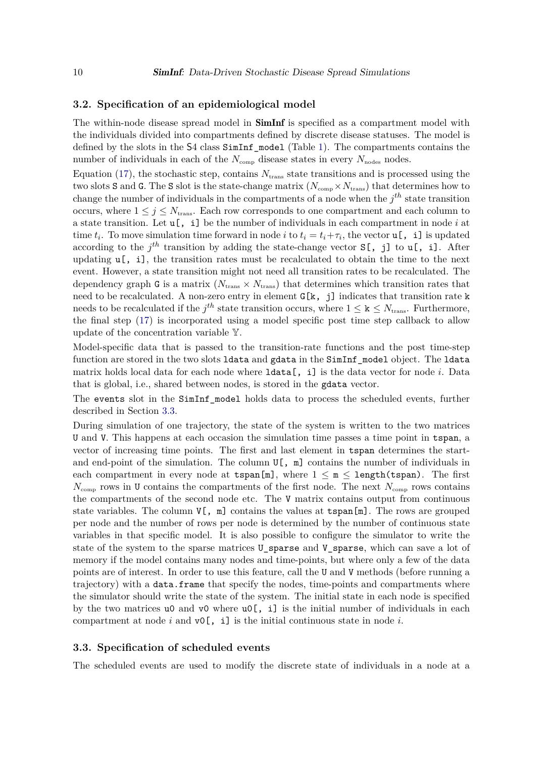#### <span id="page-9-1"></span>**3.2. Specification of an epidemiological model**

The within-node disease spread model in **SimInf** is specified as a compartment model with the individuals divided into compartments defined by discrete disease statuses. The model is defined by the slots in the S4 class SimInf\_model (Table [1\)](#page-8-0). The compartments contains the number of individuals in each of the  $N_{\text{comp}}$  disease states in every  $N_{\text{nodes}}$  nodes.

Equation [\(17\)](#page-6-3), the stochastic step, contains  $N_{trans}$  state transitions and is processed using the two slots S and G. The S slot is the state-change matrix  $(N_{\text{comp}} \times N_{\text{trans}})$  that determines how to change the number of individuals in the compartments of a node when the *j th* state transition occurs, where  $1 \leq j \leq N_{\text{trans}}$ . Each row corresponds to one compartment and each column to a state transition. Let u[, i] be the number of individuals in each compartment in node *i* at time  $t_i$ . To move simulation time forward in node *i* to  $t_i = t_i + \tau_i$ , the vector **u**[, **i**] is updated according to the  $j^{th}$  transition by adding the state-change vector  $S[\, , j]$  to  $u[\, , i]$ . After updating  $\mathbf{u}$ , i.e., the transition rates must be recalculated to obtain the time to the next event. However, a state transition might not need all transition rates to be recalculated. The dependency graph G is a matrix  $(N_{trans} \times N_{trans})$  that determines which transition rates that need to be recalculated. A non-zero entry in element  $G[k, j]$  indicates that transition rate k needs to be recalculated if the  $j^{th}$  state transition occurs, where  $1 \leq k \leq N_{trans}$ . Furthermore, the final step [\(17\)](#page-6-3) is incorporated using a model specific post time step callback to allow update of the concentration variable Y.

Model-specific data that is passed to the transition-rate functions and the post time-step function are stored in the two slots ldata and gdata in the SimInf\_model object. The ldata matrix holds local data for each node where ldata[, i] is the data vector for node *i*. Data that is global, i.e., shared between nodes, is stored in the gdata vector.

The events slot in the SimInf\_model holds data to process the scheduled events, further described in Section [3.3.](#page-9-0)

During simulation of one trajectory, the state of the system is written to the two matrices U and V. This happens at each occasion the simulation time passes a time point in tspan, a vector of increasing time points. The first and last element in tspan determines the startand end-point of the simulation. The column  $U[\, , \, \mathbb{m}]$  contains the number of individuals in each compartment in every node at  $\text{tspan}[\mathbb{m}]$ , where  $1 \leq \mathbb{m} \leq \text{length}(\text{tspan})$ . The first  $N_{\text{comp}}$  rows in U contains the compartments of the first node. The next  $N_{\text{comp}}$  rows contains the compartments of the second node etc. The V matrix contains output from continuous state variables. The column  $V[\, , \, m]$  contains the values at tspan $[m]$ . The rows are grouped per node and the number of rows per node is determined by the number of continuous state variables in that specific model. It is also possible to configure the simulator to write the state of the system to the sparse matrices U sparse and V sparse, which can save a lot of memory if the model contains many nodes and time-points, but where only a few of the data points are of interest. In order to use this feature, call the U and V methods (before running a trajectory) with a data.frame that specify the nodes, time-points and compartments where the simulator should write the state of the system. The initial state in each node is specified by the two matrices u0 and v0 where  $u(0)$ , i] is the initial number of individuals in each compartment at node *i* and  $\mathsf{v0}$ [, i] is the initial continuous state in node *i*.

#### <span id="page-9-0"></span>**3.3. Specification of scheduled events**

The scheduled events are used to modify the discrete state of individuals in a node at a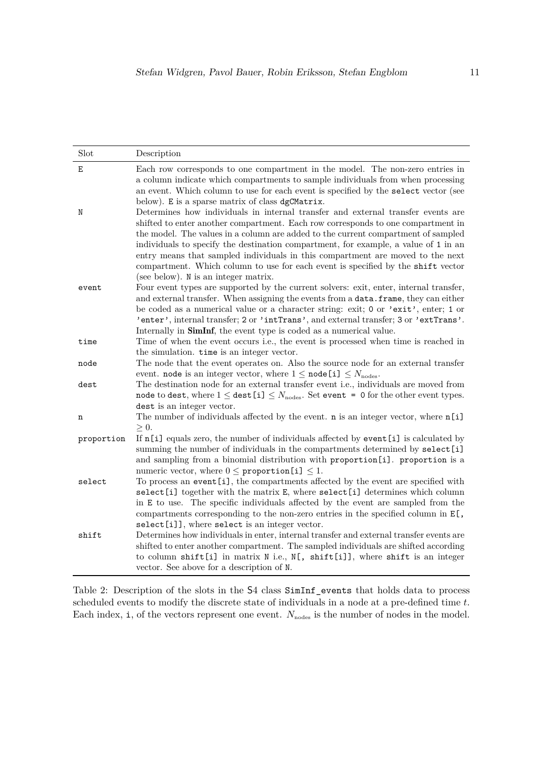<span id="page-10-0"></span>

| Slot       | Description                                                                                                                                                                                                                                                                                                                                                                                                                                                                                                                                                    |
|------------|----------------------------------------------------------------------------------------------------------------------------------------------------------------------------------------------------------------------------------------------------------------------------------------------------------------------------------------------------------------------------------------------------------------------------------------------------------------------------------------------------------------------------------------------------------------|
| E          | Each row corresponds to one compartment in the model. The non-zero entries in<br>a column indicate which compartments to sample individuals from when processing<br>an event. Which column to use for each event is specified by the select vector (see<br>below). E is a sparse matrix of class dgCMatrix.                                                                                                                                                                                                                                                    |
| N          | Determines how individuals in internal transfer and external transfer events are<br>shifted to enter another compartment. Each row corresponds to one compartment in<br>the model. The values in a column are added to the current compartment of sampled<br>individuals to specify the destination compartment, for example, a value of 1 in an<br>entry means that sampled individuals in this compartment are moved to the next<br>compartment. Which column to use for each event is specified by the shift vector<br>(see below). N is an integer matrix. |
| event      | Four event types are supported by the current solvers: exit, enter, internal transfer,<br>and external transfer. When assigning the events from a data. frame, they can either<br>be coded as a numerical value or a character string: exit; 0 or 'exit', enter; 1 or<br>'enter', internal transfer; 2 or 'intTrans', and external transfer; 3 or 'extTrans'.<br>Internally in SimInf, the event type is coded as a numerical value.                                                                                                                           |
| time       | Time of when the event occurs i.e., the event is processed when time is reached in<br>the simulation. time is an integer vector.                                                                                                                                                                                                                                                                                                                                                                                                                               |
| node       | The node that the event operates on. Also the source node for an external transfer<br>event. node is an integer vector, where $1 \leq \text{node}[i] \leq N_{\text{nodes}}$ .                                                                                                                                                                                                                                                                                                                                                                                  |
| dest       | The destination node for an external transfer event i.e., individuals are moved from<br>node to dest, where $1 \le$ dest [i] $\leq N_{\text{nodes}}$ . Set event = 0 for the other event types.<br>dest is an integer vector.                                                                                                                                                                                                                                                                                                                                  |
| n          | The number of individuals affected by the event. $n$ is an integer vector, where $n[i]$<br>$\geq 0$ .                                                                                                                                                                                                                                                                                                                                                                                                                                                          |
| proportion | If $n[i]$ equals zero, the number of individuals affected by event [i] is calculated by<br>summing the number of individuals in the compartments determined by select [i]<br>and sampling from a binomial distribution with proportion[i]. proportion is a<br>numeric vector, where $0 \leq$ proportion [i] $\leq 1$ .                                                                                                                                                                                                                                         |
| select     | To process an event [i], the compartments affected by the event are specified with<br>select [i] together with the matrix E, where select [i] determines which column<br>in E to use. The specific individuals affected by the event are sampled from the<br>compartments corresponding to the non-zero entries in the specified column in $E$ [,                                                                                                                                                                                                              |
| shift      | select[i]], where select is an integer vector.<br>Determines how individuals in enter, internal transfer and external transfer events are<br>shifted to enter another compartment. The sampled individuals are shifted according<br>to column shift[i] in matrix N i.e., N[, shift[i]], where shift is an integer<br>vector. See above for a description of N.                                                                                                                                                                                                 |

Table 2: Description of the slots in the S4 class SimInf\_events that holds data to process scheduled events to modify the discrete state of individuals in a node at a pre-defined time *t*. Each index,  $\mathbf{i}$ , of the vectors represent one event.  $N_{\text{nodes}}$  is the number of nodes in the model.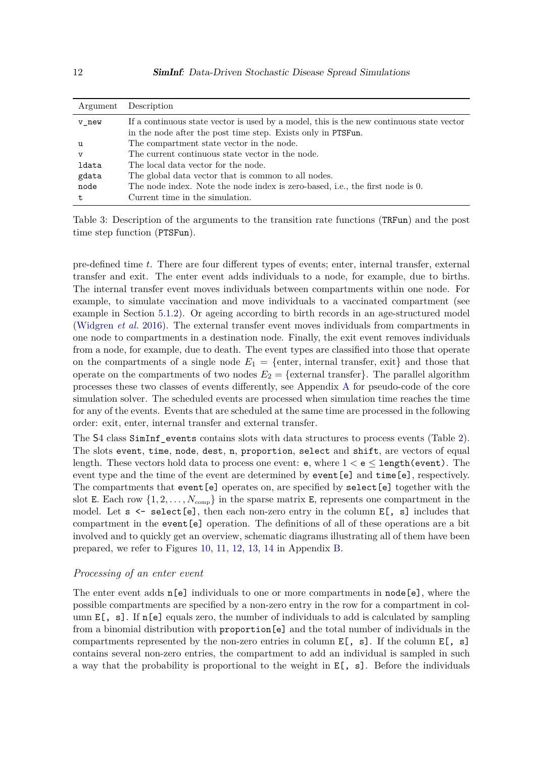<span id="page-11-0"></span>

| Argument | Description                                                                              |
|----------|------------------------------------------------------------------------------------------|
| v new    | If a continuous state vector is used by a model, this is the new continuous state vector |
|          | in the node after the post time step. Exists only in PTSFun.                             |
| u        | The compartment state vector in the node.                                                |
| v        | The current continuous state vector in the node.                                         |
| ldata    | The local data vector for the node.                                                      |
| gdata    | The global data vector that is common to all nodes.                                      |
| node     | The node index. Note the node index is zero-based, i.e., the first node is 0.            |
| t        | Current time in the simulation.                                                          |

Table 3: Description of the arguments to the transition rate functions (TRFun) and the post time step function (PTSFun).

pre-defined time *t*. There are four different types of events; enter, internal transfer, external transfer and exit. The enter event adds individuals to a node, for example, due to births. The internal transfer event moves individuals between compartments within one node. For example, to simulate vaccination and move individuals to a vaccinated compartment (see example in Section [5.1.2\)](#page-24-0). Or ageing according to birth records in an age-structured model [\(Widgren](#page-35-1) *et al.* [2016\)](#page-35-1). The external transfer event moves individuals from compartments in one node to compartments in a destination node. Finally, the exit event removes individuals from a node, for example, due to death. The event types are classified into those that operate on the compartments of a single node  $E_1 = \{$ enter, internal transfer, exit $\}$  and those that operate on the compartments of two nodes  $E_2 = \{$ external transfer $\}$ . The parallel algorithm processes these two classes of events differently, see Appendix [A](#page-36-0) for pseudo-code of the core simulation solver. The scheduled events are processed when simulation time reaches the time for any of the events. Events that are scheduled at the same time are processed in the following order: exit, enter, internal transfer and external transfer.

The S4 class SimInf events contains slots with data structures to process events (Table [2\)](#page-10-0). The slots event, time, node, dest, n, proportion, select and shift, are vectors of equal length. These vectors hold data to process one event:  $e$ , where  $1 < e \leq$  length (event). The event type and the time of the event are determined by event[e] and time[e], respectively. The compartments that event[e] operates on, are specified by select[e] together with the slot E. Each row  $\{1, 2, \ldots, N_{\text{comp}}\}$  in the sparse matrix E, represents one compartment in the model. Let  $s \leftarrow \text{select}[\mathbf{e}]$ , then each non-zero entry in the column E[, s] includes that compartment in the event[e] operation. The definitions of all of these operations are a bit involved and to quickly get an overview, schematic diagrams illustrating all of them have been prepared, we refer to Figures [10,](#page-37-0) [11,](#page-38-0) [12,](#page-38-0) [13,](#page-39-0) [14](#page-39-0) in Appendix [B.](#page-37-1)

#### *Processing of an enter event*

The enter event adds  $n[e]$  individuals to one or more compartments in node [e], where the possible compartments are specified by a non-zero entry in the row for a compartment in column E[, s]. If n[e] equals zero, the number of individuals to add is calculated by sampling from a binomial distribution with proportion[e] and the total number of individuals in the compartments represented by the non-zero entries in column  $E[$ , s]. If the column  $E[$ , s] contains several non-zero entries, the compartment to add an individual is sampled in such a way that the probability is proportional to the weight in  $E[$ , s]. Before the individuals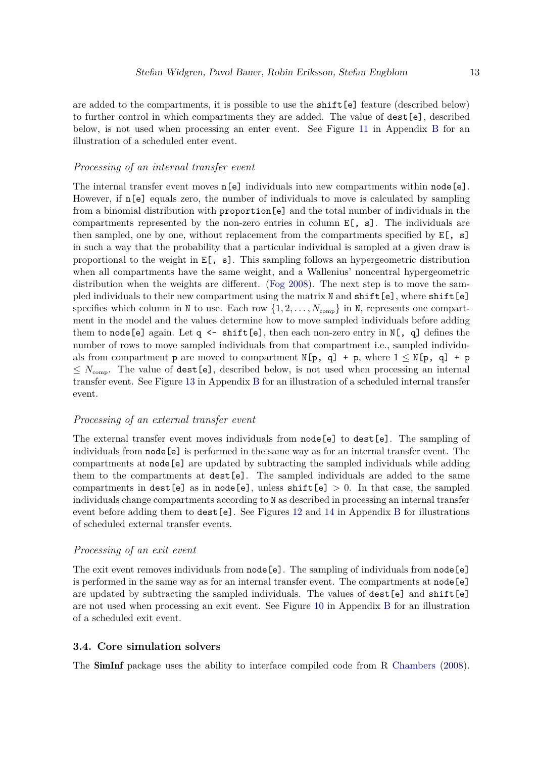are added to the compartments, it is possible to use the shift[e] feature (described below) to further control in which compartments they are added. The value of dest[e], described below, is not used when processing an enter event. See Figure [11](#page-38-0) in Appendix [B](#page-37-1) for an illustration of a scheduled enter event.

#### *Processing of an internal transfer event*

The internal transfer event moves  $n[e]$  individuals into new compartments within node [e]. However, if n[e] equals zero, the number of individuals to move is calculated by sampling from a binomial distribution with proportion[e] and the total number of individuals in the compartments represented by the non-zero entries in column  $E[$ , s]. The individuals are then sampled, one by one, without replacement from the compartments specified by  $E[$ , s] in such a way that the probability that a particular individual is sampled at a given draw is proportional to the weight in  $E[\, , s]$ . This sampling follows an hypergeometric distribution when all compartments have the same weight, and a Wallenius' noncentral hypergeometric distribution when the weights are different. [\(Fog 2008\)](#page-33-11). The next step is to move the sampled individuals to their new compartment using the matrix N and shift [e], where shift [e] specifies which column in N to use. Each row  $\{1, 2, \ldots, N_{\text{comp}}\}$  in N, represents one compartment in the model and the values determine how to move sampled individuals before adding them to node [e] again. Let q  $\leq$  shift [e], then each non-zero entry in N[, q] defines the number of rows to move sampled individuals from that compartment i.e., sampled individuals from compartment p are moved to compartment  $N[p, q] + p$ , where  $1 \leq N[p, q] + p$  $\leq N_{\text{comp}}$ . The value of dest [e], described below, is not used when processing an internal transfer event. See Figure [13](#page-39-0) in Appendix [B](#page-37-1) for an illustration of a scheduled internal transfer event.

#### *Processing of an external transfer event*

The external transfer event moves individuals from node [e] to dest [e]. The sampling of individuals from node[e] is performed in the same way as for an internal transfer event. The compartments at node[e] are updated by subtracting the sampled individuals while adding them to the compartments at dest[e]. The sampled individuals are added to the same compartments in dest[e] as in node[e], unless shift[e]  $> 0$ . In that case, the sampled individuals change compartments according to N as described in processing an internal transfer event before adding them to dest[e]. See Figures [12](#page-38-0) and [14](#page-39-0) in Appendix [B](#page-37-1) for illustrations of scheduled external transfer events.

#### *Processing of an exit event*

The exit event removes individuals from node [e]. The sampling of individuals from node [e] is performed in the same way as for an internal transfer event. The compartments at node[e] are updated by subtracting the sampled individuals. The values of dest[e] and shift[e] are not used when processing an exit event. See Figure [10](#page-37-0) in Appendix [B](#page-37-1) for an illustration of a scheduled exit event.

#### **3.4. Core simulation solvers**

The SimInf package uses the ability to interface compiled code from R [Chambers](#page-32-11) [\(2008\)](#page-32-11).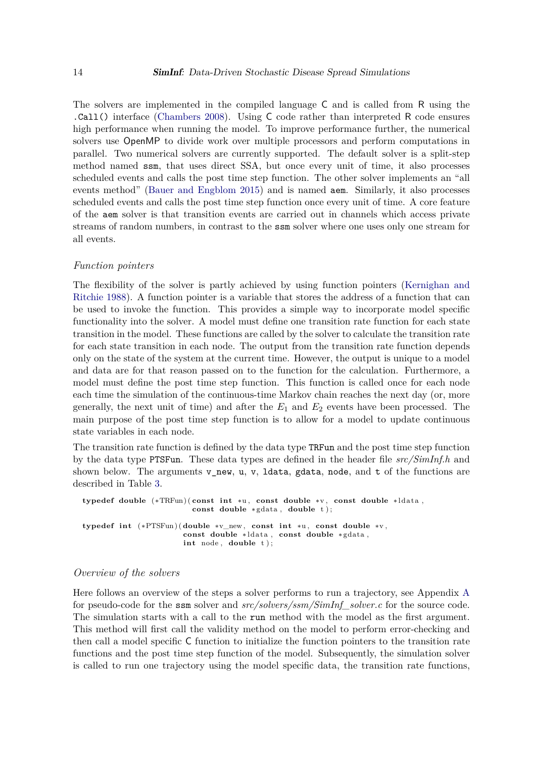The solvers are implemented in the compiled language C and is called from R using the .Call() interface [\(Chambers 2008\)](#page-32-11). Using C code rather than interpreted R code ensures high performance when running the model. To improve performance further, the numerical solvers use OpenMP to divide work over multiple processors and perform computations in parallel. Two numerical solvers are currently supported. The default solver is a split-step method named ssm, that uses direct SSA, but once every unit of time, it also processes scheduled events and calls the post time step function. The other solver implements an "all events method" [\(Bauer and Engblom 2015\)](#page-32-12) and is named aem. Similarly, it also processes scheduled events and calls the post time step function once every unit of time. A core feature of the aem solver is that transition events are carried out in channels which access private streams of random numbers, in contrast to the ssm solver where one uses only one stream for all events.

#### *Function pointers*

The flexibility of the solver is partly achieved by using function pointers [\(Kernighan and](#page-34-2) [Ritchie 1988\)](#page-34-2). A function pointer is a variable that stores the address of a function that can be used to invoke the function. This provides a simple way to incorporate model specific functionality into the solver. A model must define one transition rate function for each state transition in the model. These functions are called by the solver to calculate the transition rate for each state transition in each node. The output from the transition rate function depends only on the state of the system at the current time. However, the output is unique to a model and data are for that reason passed on to the function for the calculation. Furthermore, a model must define the post time step function. This function is called once for each node each time the simulation of the continuous-time Markov chain reaches the next day (or, more generally, the next unit of time) and after the  $E_1$  and  $E_2$  events have been processed. The main purpose of the post time step function is to allow for a model to update continuous state variables in each node.

The transition rate function is defined by the data type TRFun and the post time step function by the data type PTSFun. These data types are defined in the header file *src/SimInf.h* and shown below. The arguments  $v_new, u, v$ , ldata, gdata, node, and t of the functions are described in Table [3.](#page-11-0)

```
typedef double (∗TRFun) ( const int ∗u , const double ∗v , const double ∗ ldata ,
                          const double ∗ gdata , double t ) ;
typedef int (∗PTSFun) ( double ∗v_new , const int ∗u , const double ∗v ,
                        const double ∗ ldata , const double ∗ gdata ,
                        int node , double t ) ;
```
#### *Overview of the solvers*

Here follows an overview of the steps a solver performs to run a trajectory, see Appendix [A](#page-36-0) for pseudo-code for the ssm solver and *src/solvers/ssm/SimInf\_solver.c* for the source code. The simulation starts with a call to the run method with the model as the first argument. This method will first call the validity method on the model to perform error-checking and then call a model specific C function to initialize the function pointers to the transition rate functions and the post time step function of the model. Subsequently, the simulation solver is called to run one trajectory using the model specific data, the transition rate functions,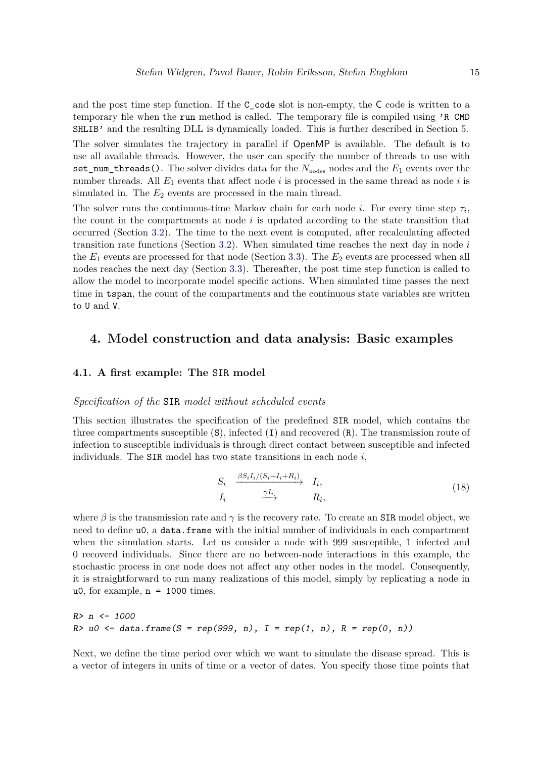and the post time step function. If the C\_code slot is non-empty, the C code is written to a temporary file when the run method is called. The temporary file is compiled using 'R CMD SHLIB' and the resulting DLL is dynamically loaded. This is further described in Section [5.](#page-21-0) The solver simulates the trajectory in parallel if OpenMP is available. The default is to use all available threads. However, the user can specify the number of threads to use with set\_num\_threads(). The solver divides data for the *N*nodes nodes and the *E*<sup>1</sup> events over the number threads. All *E*<sup>1</sup> events that affect node *i* is processed in the same thread as node *i* is simulated in. The  $E_2$  events are processed in the main thread.

The solver runs the continuous-time Markov chain for each node *i*. For every time step  $\tau_i$ , the count in the compartments at node *i* is updated according to the state transition that occurred (Section [3.2\)](#page-9-1). The time to the next event is computed, after recalculating affected transition rate functions (Section [3.2\)](#page-9-1). When simulated time reaches the next day in node *i* the  $E_1$  events are processed for that node (Section [3.3\)](#page-9-0). The  $E_2$  events are processed when all nodes reaches the next day (Section [3.3\)](#page-9-0). Thereafter, the post time step function is called to allow the model to incorporate model specific actions. When simulated time passes the next time in tspan, the count of the compartments and the continuous state variables are written to U and V.

## <span id="page-14-0"></span>**4. Model construction and data analysis: Basic examples**

#### **4.1. A first example: The** SIR **model**

#### *Specification of the* SIR *model without scheduled events*

This section illustrates the specification of the predefined SIR model, which contains the three compartments susceptible  $(S)$ , infected  $(I)$  and recovered  $(R)$ . The transmission route of infection to susceptible individuals is through direct contact between susceptible and infected individuals. The SIR model has two state transitions in each node *i*,

<span id="page-14-1"></span>
$$
S_i \xrightarrow{\beta S_i I_i/(S_i+I_i+R_i)} I_i,
$$
  
\n
$$
I_i \xrightarrow{\gamma I_i} R_i,
$$
\n(18)

where  $\beta$  is the transmission rate and  $\gamma$  is the recovery rate. To create an SIR model object, we need to define u0, a data.frame with the initial number of individuals in each compartment when the simulation starts. Let us consider a node with 999 susceptible, 1 infected and 0 recoverd individuals. Since there are no between-node interactions in this example, the stochastic process in one node does not affect any other nodes in the model. Consequently, it is straightforward to run many realizations of this model, simply by replicating a node in u0, for example,  $n = 1000$  times.

```
R> n <- 1000
R> u0 <- data.frame(S = rep(999, n), I = rep(1, n), R = rep(0, n))
```
Next, we define the time period over which we want to simulate the disease spread. This is a vector of integers in units of time or a vector of dates. You specify those time points that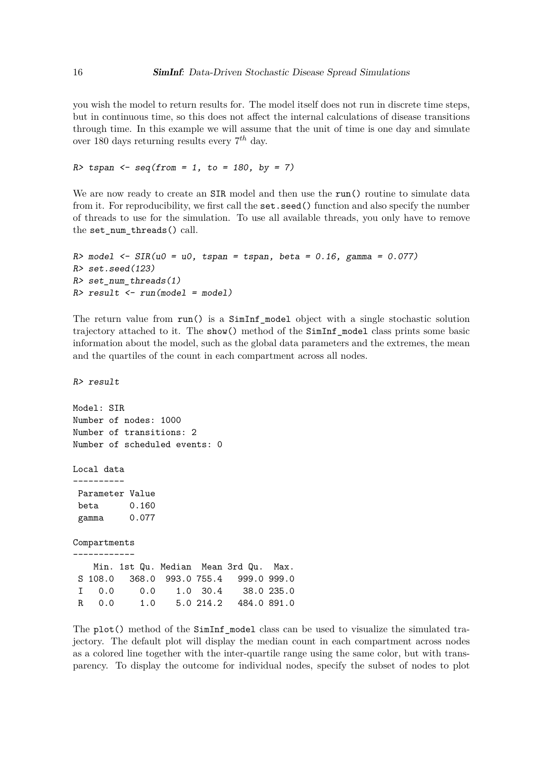you wish the model to return results for. The model itself does not run in discrete time steps, but in continuous time, so this does not affect the internal calculations of disease transitions through time. In this example we will assume that the unit of time is one day and simulate over 180 days returning results every 7 *th* day.

*R> tspan <- seq(from = 1, to = 180, by = 7)*

We are now ready to create an SIR model and then use the run() routine to simulate data from it. For reproducibility, we first call the set.seed() function and also specify the number of threads to use for the simulation. To use all available threads, you only have to remove the set\_num\_threads() call.

```
R> model <- SIR(u0 = u0, tspan = tspan, beta = 0.16, gamma = 0.077)
R> set.seed(123)
R> set_num_threads(1)
R> result <- run(model = model)
```
The return value from run() is a SimInf\_model object with a single stochastic solution trajectory attached to it. The show() method of the SimInf\_model class prints some basic information about the model, such as the global data parameters and the extremes, the mean and the quartiles of the count in each compartment across all nodes.

*R> result*

```
Model: SIR
Number of nodes: 1000
Number of transitions: 2
Number of scheduled events: 0
Local data
 ----------
Parameter Value
beta 0.160
 gamma 0.077
Compartments
------------
   Min. 1st Qu. Median Mean 3rd Qu. Max.
S 108.0 368.0 993.0 755.4 999.0 999.0
 I 0.0 0.0 1.0 30.4 38.0 235.0
R 0.0 1.0 5.0 214.2 484.0 891.0
```
The plot() method of the SimInf\_model class can be used to visualize the simulated trajectory. The default plot will display the median count in each compartment across nodes as a colored line together with the inter-quartile range using the same color, but with transparency. To display the outcome for individual nodes, specify the subset of nodes to plot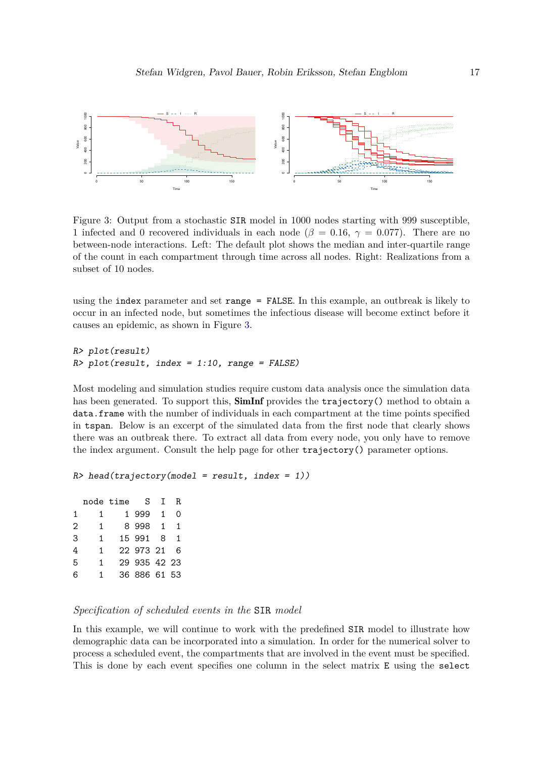<span id="page-16-0"></span>

Figure 3: Output from a stochastic SIR model in 1000 nodes starting with 999 susceptible, 1 infected and 0 recovered individuals in each node ( $\beta = 0.16$ ,  $\gamma = 0.077$ ). There are no between-node interactions. Left: The default plot shows the median and inter-quartile range of the count in each compartment through time across all nodes. Right: Realizations from a subset of 10 nodes.

using the index parameter and set range = FALSE. In this example, an outbreak is likely to occur in an infected node, but sometimes the infectious disease will become extinct before it causes an epidemic, as shown in Figure [3.](#page-16-0)

```
R> plot(result)
R> plot(result, index = 1:10, range = FALSE)
```
Most modeling and simulation studies require custom data analysis once the simulation data has been generated. To support this,  $\operatorname{SimInf}$  provides the trajectory() method to obtain a data.frame with the number of individuals in each compartment at the time points specified in tspan. Below is an excerpt of the simulated data from the first node that clearly shows there was an outbreak there. To extract all data from every node, you only have to remove the index argument. Consult the help page for other trajectory() parameter options.

```
R> head(trajectory(model = result, index = 1))
```

|   | node time | S.           | $\mathsf{T}$   | R.  |  |
|---|-----------|--------------|----------------|-----|--|
| 1 | 1.        | 1 999        | 1.             | ∩   |  |
| 2 | 1.        | 8998         | $\overline{1}$ | 1   |  |
| 3 | 1         | 15 991 8     |                |     |  |
| 4 | 1         | 22 973 21    |                | - 6 |  |
| 5 | 1.        | 29 935 42 23 |                |     |  |
| 6 | 1.        | 36 886 61 53 |                |     |  |

#### *Specification of scheduled events in the* SIR *model*

In this example, we will continue to work with the predefined SIR model to illustrate how demographic data can be incorporated into a simulation. In order for the numerical solver to process a scheduled event, the compartments that are involved in the event must be specified. This is done by each event specifies one column in the select matrix E using the select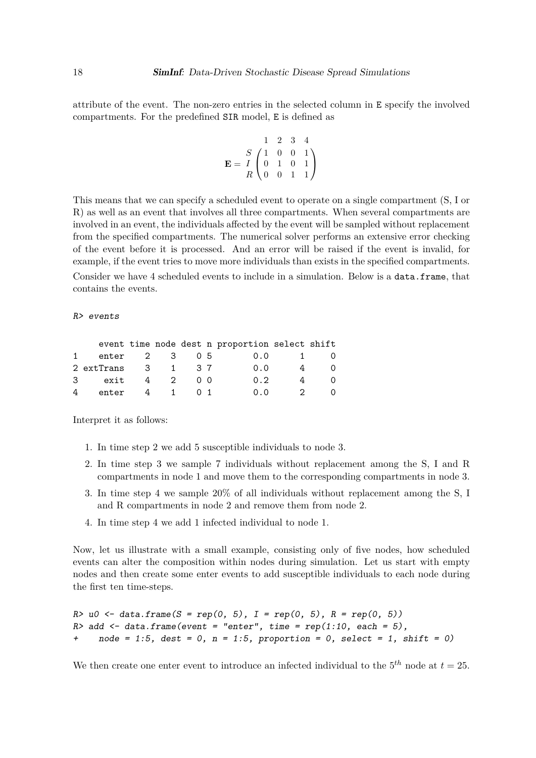attribute of the event. The non-zero entries in the selected column in E specify the involved compartments. For the predefined SIR model, E is defined as

$$
\mathbf{E} = \begin{bmatrix} 1 & 2 & 3 & 4 \\ S & 1 & 0 & 0 & 1 \\ I & 0 & 1 & 0 & 1 \\ R & 0 & 0 & 1 & 1 \end{bmatrix}
$$

This means that we can specify a scheduled event to operate on a single compartment (S, I or R) as well as an event that involves all three compartments. When several compartments are involved in an event, the individuals affected by the event will be sampled without replacement from the specified compartments. The numerical solver performs an extensive error checking of the event before it is processed. And an error will be raised if the event is invalid, for example, if the event tries to move more individuals than exists in the specified compartments.

Consider we have 4 scheduled events to include in a simulation. Below is a data.frame, that contains the events.

*R> events*

|   |                             |     |     | event time node dest n proportion select shift |                |          |
|---|-----------------------------|-----|-----|------------------------------------------------|----------------|----------|
|   | enter 2 3 05                |     |     | 0.0                                            | $\mathbf{1}$   | - ()     |
|   | 2 extTrans 3 1 37           |     |     | 0.0                                            | $\overline{4}$ | $\Omega$ |
|   | exit 4 2 00<br>$\mathbf{3}$ |     |     | 0.2                                            | 4              | 0        |
| 4 | enter                       | 4 1 | O 1 | 0.0                                            | $\overline{2}$ | 0        |

Interpret it as follows:

- 1. In time step 2 we add 5 susceptible individuals to node 3.
- 2. In time step 3 we sample 7 individuals without replacement among the S, I and R compartments in node 1 and move them to the corresponding compartments in node 3.
- 3. In time step 4 we sample 20% of all individuals without replacement among the S, I and R compartments in node 2 and remove them from node 2.
- 4. In time step 4 we add 1 infected individual to node 1.

Now, let us illustrate with a small example, consisting only of five nodes, how scheduled events can alter the composition within nodes during simulation. Let us start with empty nodes and then create some enter events to add susceptible individuals to each node during the first ten time-steps.

```
R> u0 <- data.frame(S = rep(0, 5), I = rep(0, 5), R = rep(0, 5))
R> add <- data.frame(event = "enter", time = rep(1:10, each = 5),
+ node = 1:5, dest = 0, n = 1:5, proportion = 0, select = 1, shift = 0)
```
We then create one enter event to introduce an infected individual to the  $5<sup>th</sup>$  node at  $t = 25$ .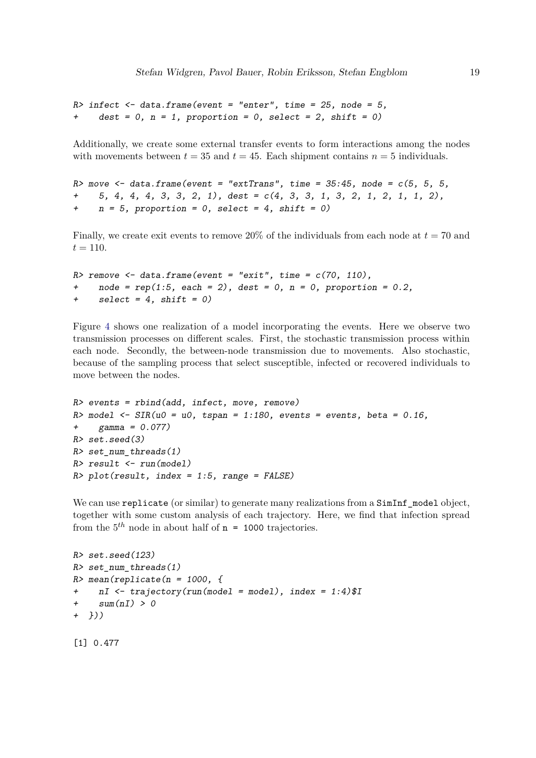```
R> infect <- data.frame(event = "enter", time = 25, node = 5,
+ dest = 0, n = 1, proportion = 0, select = 2, shift = 0)
```
Additionally, we create some external transfer events to form interactions among the nodes with movements between  $t = 35$  and  $t = 45$ . Each shipment contains  $n = 5$  individuals.

```
R> move <- data.frame(event = "extTrans", time = 35:45, node = c(5, 5, 5,
     + 5, 4, 4, 4, 3, 3, 2, 1), dest = c(4, 3, 3, 1, 3, 2, 1, 2, 1, 1, 2),
+ n = 5, proportion = 0, select = 4, shift = 0)
```
Finally, we create exit events to remove  $20\%$  of the individuals from each node at  $t = 70$  and  $t = 110.$ 

```
R> remove <- data.frame(event = "exit", time = c(70, 110),
    + node = rep(1:5, each = 2), dest = 0, n = 0, proportion = 0.2,
+ select = 4, shift = 0)
```
Figure [4](#page-19-0) shows one realization of a model incorporating the events. Here we observe two transmission processes on different scales. First, the stochastic transmission process within each node. Secondly, the between-node transmission due to movements. Also stochastic, because of the sampling process that select susceptible, infected or recovered individuals to move between the nodes.

```
R> events = rbind(add, infect, move, remove)
R> model <- SIR(u0 = u0, tspan = 1:180, events = events, beta = 0.16,
+ gamma = 0.077)
R> set.seed(3)
R> set_num_threads(1)
R> result <- run(model)
R> plot(result, index = 1:5, range = FALSE)
```
We can use replicate (or similar) to generate many realizations from a  $SimInf$  model object, together with some custom analysis of each trajectory. Here, we find that infection spread from the  $5<sup>th</sup>$  node in about half of  $n = 1000$  trajectories.

```
R> set.seed(123)
R> set_num_threads(1)
R> mean(replicate(n = 1000, {
+ nI <- trajectory(run(model = model), index = 1:4)$I
+ sum(nI) > 0
+ }))
```
[1] 0.477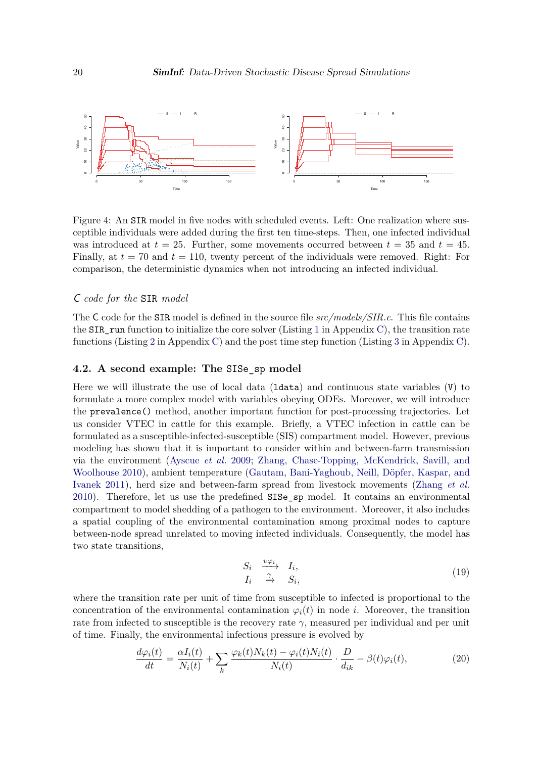<span id="page-19-0"></span>

Figure 4: An SIR model in five nodes with scheduled events. Left: One realization where susceptible individuals were added during the first ten time-steps. Then, one infected individual was introduced at  $t = 25$ . Further, some movements occurred between  $t = 35$  and  $t = 45$ . Finally, at *t* = 70 and *t* = 110, twenty percent of the individuals were removed. Right: For comparison, the deterministic dynamics when not introducing an infected individual.

#### C *code for the* SIR *model*

The C code for the SIR model is defined in the source file *src/models/SIR.c*. This file contains the SIR run function to initialize the core solver (Listing [1](#page-40-0) in Appendix [C\)](#page-40-1), the transition rate functions (Listing [2](#page-40-2) in Appendix [C\)](#page-40-1) and the post time step function (Listing [3](#page-40-3) in Appendix [C\)](#page-40-1).

#### **4.2. A second example: The** SISe\_sp **model**

Here we will illustrate the use of local data (ldata) and continuous state variables (V) to formulate a more complex model with variables obeying ODEs. Moreover, we will introduce the prevalence() method, another important function for post-processing trajectories. Let us consider VTEC in cattle for this example. Briefly, a VTEC infection in cattle can be formulated as a susceptible-infected-susceptible (SIS) compartment model. However, previous modeling has shown that it is important to consider within and between-farm transmission via the environment [\(Ayscue](#page-32-9) *et al.* [2009;](#page-32-9) [Zhang, Chase-Topping, McKendrick, Savill, and](#page-35-3) [Woolhouse 2010\)](#page-35-3), ambient temperature [\(Gautam, Bani-Yaghoub, Neill, Döpfer, Kaspar, and](#page-33-12) [Ivanek 2011\)](#page-33-12), herd size and between-farm spread from livestock movements [\(Zhang](#page-35-3) *et al.* [2010\)](#page-35-3). Therefore, let us use the predefined SISe\_sp model. It contains an environmental compartment to model shedding of a pathogen to the environment. Moreover, it also includes a spatial coupling of the environmental contamination among proximal nodes to capture between-node spread unrelated to moving infected individuals. Consequently, the model has two state transitions,

<span id="page-19-1"></span>
$$
\begin{array}{ccc}\nS_i & \stackrel{\upsilon \varphi_i}{\longrightarrow} & I_i, \\
I_i & \stackrel{\gamma}{\longrightarrow} & S_i,\n\end{array} \n\tag{19}
$$

where the transition rate per unit of time from susceptible to infected is proportional to the concentration of the environmental contamination  $\varphi_i(t)$  in node *i*. Moreover, the transition rate from infected to susceptible is the recovery rate  $\gamma$ , measured per individual and per unit of time. Finally, the environmental infectious pressure is evolved by

$$
\frac{d\varphi_i(t)}{dt} = \frac{\alpha I_i(t)}{N_i(t)} + \sum_k \frac{\varphi_k(t)N_k(t) - \varphi_i(t)N_i(t)}{N_i(t)} \cdot \frac{D}{d_{ik}} - \beta(t)\varphi_i(t),\tag{20}
$$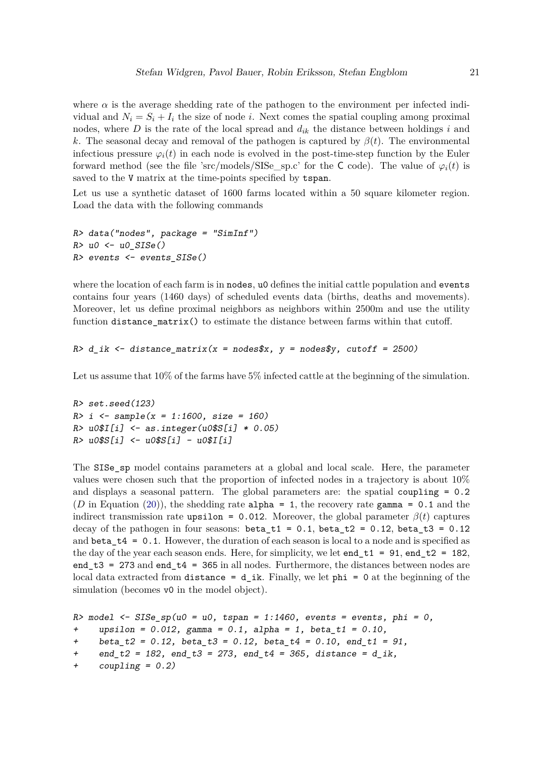where  $\alpha$  is the average shedding rate of the pathogen to the environment per infected individual and  $N_i = S_i + I_i$  the size of node *i*. Next comes the spatial coupling among proximal nodes, where *D* is the rate of the local spread and *dik* the distance between holdings *i* and *k*. The seasonal decay and removal of the pathogen is captured by  $\beta(t)$ . The environmental infectious pressure  $\varphi_i(t)$  in each node is evolved in the post-time-step function by the Euler forward method (see the file 'src/models/SISe sp.c' for the C code). The value of  $\varphi_i(t)$  is saved to the V matrix at the time-points specified by tspan.

Let us use a synthetic dataset of  $1600$  farms located within a 50 square kilometer region. Load the data with the following commands

```
R> data("nodes", package = "SimInf")
R> u0 <- u0_SISe()
R> events <- events_SISe()
```
where the location of each farm is in nodes,  $\alpha$  defines the initial cattle population and events contains four years (1460 days) of scheduled events data (births, deaths and movements). Moreover, let us define proximal neighbors as neighbors within 2500m and use the utility function distance\_matrix() to estimate the distance between farms within that cutoff.

```
R> d_ik <- distance_matrix(x = nodes$x, y = nodes$y, cutoff = 2500)
```
Let us assume that  $10\%$  of the farms have 5% infected cattle at the beginning of the simulation.

```
R> set.seed(123)
R> i <- sample(x = 1:1600, size = 160)
R> u0$I[i] <- as.integer(u0$S[i] * 0.05)
R> u0$S[i] <- u0$S[i] - u0$I[i]
```
The SISe\_sp model contains parameters at a global and local scale. Here, the parameter values were chosen such that the proportion of infected nodes in a trajectory is about 10% and displays a seasonal pattern. The global parameters are: the spatial coupling = 0.2 (*D* in Equation [\(20\)](#page-19-1)), the shedding rate alpha = 1, the recovery rate gamma =  $0.1$  and the indirect transmission rate upsilon = 0.012. Moreover, the global parameter  $\beta(t)$  captures decay of the pathogen in four seasons: beta\_t1 =  $0.1$ , beta\_t2 =  $0.12$ , beta\_t3 =  $0.12$ and beta\_t4 =  $0.1$ . However, the duration of each season is local to a node and is specified as the day of the year each season ends. Here, for simplicity, we let  $end_t1 = 91$ , end\_t2 = 182, end  $t3 = 273$  and end  $t4 = 365$  in all nodes. Furthermore, the distances between nodes are local data extracted from distance =  $d$  ik. Finally, we let phi = 0 at the beginning of the simulation (becomes v0 in the model object).

```
R> model <- SISe_sp(u0 = u0, tspan = 1:1460, events = events, phi = 0,
+ upsilon = 0.012, gamma = 0.1, alpha = 1, beta_t1 = 0.10,
+ beta_t2 = 0.12, beta_t3 = 0.12, beta_t4 = 0.10, end_t1 = 91,
+ end_t2 = 182, end_t3 = 273, end_t4 = 365, distance = d_ik,
+ coupling = 0.2)
```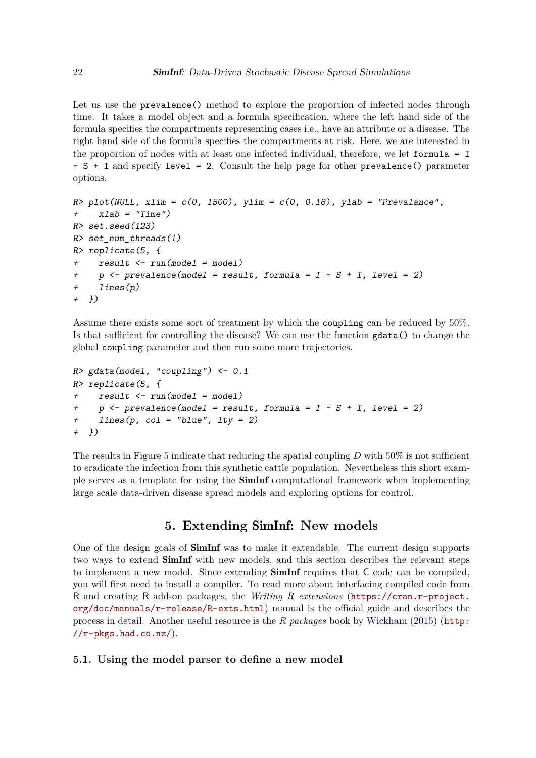Let us use the prevalence() method to explore the proportion of infected nodes through time. It takes a model object and a formula specification, where the left hand side of the formula specifies the compartments representing cases i.e., have an attribute or a disease. The right hand side of the formula specifies the compartments at risk. Here, we are interested in the proportion of nodes with at least one infected individual, therefore, we let formula = I  $\sim S + I$  and specify level = 2. Consult the help page for other prevalence() parameter options.

```
R> plot(NULL, xlim = c(0, 1500), ylim = c(0, 0.18), ylab = "Prevalance",
+ xlab = "Time")
R> set.seed(123)
R> set_num_threads(1)
R> replicate(5, {
+ result <- run(model = model)
+ p <- prevalence(model = result, formula = I ~ S + I, level = 2)
    + lines(p)
+ })
```
Assume there exists some sort of treatment by which the coupling can be reduced by 50%. Is that sufficient for controlling the disease? We can use the function gdata() to change the global coupling parameter and then run some more trajectories.

```
R> gdata(model, "coupling") <- 0.1
R> replicate(5, {
+ result <- run(model = model)
+ p <- prevalence(model = result, formula = I ~ S + I, level = 2)
+ lines(p, col = "blue", lty = 2)
+ })
```
The results in Figure [5](#page-22-0) indicate that reducing the spatial coupling *D* with 50% is not sufficient to eradicate the infection from this synthetic cattle population. Nevertheless this short example serves as a template for using the SimInf computational framework when implementing large scale data-driven disease spread models and exploring options for control.

# **5. Extending** SimInf**: New models**

<span id="page-21-0"></span>One of the design goals of SimInf was to make it extendable. The current design supports two ways to extend SimInf with new models, and this section describes the relevant steps to implement a new model. Since extending **SimInf** requires that C code can be compiled, you will first need to install a compiler. To read more about interfacing compiled code from R and creating R add-on packages, the *Writing R extensions* ([https://cran.r-project.](https://cran.r-project.org/doc/manuals/r-release/R-exts.html) [org/doc/manuals/r-release/R-exts.html](https://cran.r-project.org/doc/manuals/r-release/R-exts.html)) manual is the official guide and describes the process in detail. Another useful resource is the *R packages* book by [Wickham](#page-34-11) [\(2015\)](#page-34-11) ([http:](http://r-pkgs.had.co.nz/) [//r-pkgs.had.co.nz/](http://r-pkgs.had.co.nz/)).

#### **5.1. Using the model parser to define a new model**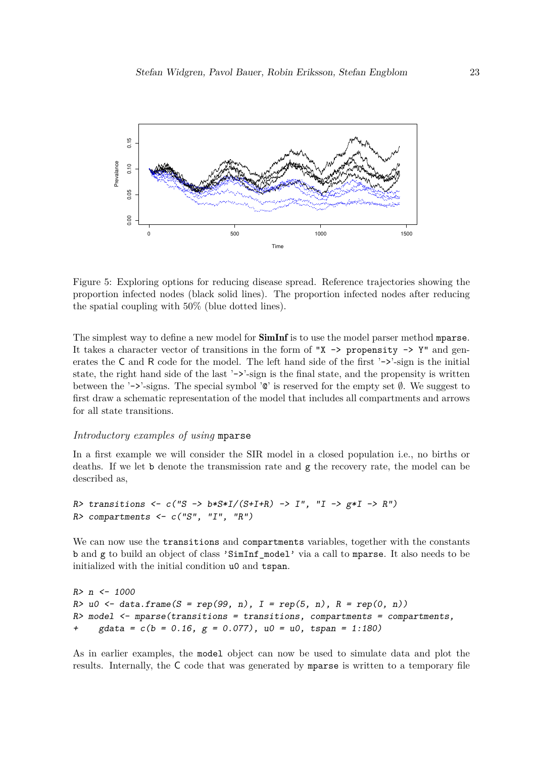<span id="page-22-0"></span>

Figure 5: Exploring options for reducing disease spread. Reference trajectories showing the proportion infected nodes (black solid lines). The proportion infected nodes after reducing the spatial coupling with 50% (blue dotted lines).

The simplest way to define a new model for **SimInf** is to use the model parser method mparse. It takes a character vector of transitions in the form of " $X \rightarrow$  propensity  $\rightarrow$  Y" and generates the C and R code for the model. The left hand side of the first '->'-sign is the initial state, the right hand side of the last '->'-sign is the final state, and the propensity is written between the '->'-signs. The special symbol ' $\mathbb{Q}$ ' is reserved for the empty set  $\emptyset$ . We suggest to first draw a schematic representation of the model that includes all compartments and arrows for all state transitions.

#### *Introductory examples of using* mparse

In a first example we will consider the SIR model in a closed population i.e., no births or deaths. If we let b denote the transmission rate and g the recovery rate, the model can be described as,

```
R> transitions <- c("S -> b*S*I/(S+I+R) -> I", "I -> g*I -> R")
R> compartments <- c("S", "I", "R")
```
We can now use the transitions and compartments variables, together with the constants b and g to build an object of class 'SimInf\_model' via a call to mparse. It also needs to be initialized with the initial condition u0 and tspan.

```
R> n <- 1000
R> u0 <- data.frame(S = rep(99, n), I = rep(5, n), R = rep(0, n))
R> model <- mparse(transitions = transitions, compartments = compartments,
     + gdata = c(b = 0.16, g = 0.077), u0 = u0, tspan = 1:180)
```
As in earlier examples, the model object can now be used to simulate data and plot the results. Internally, the C code that was generated by mparse is written to a temporary file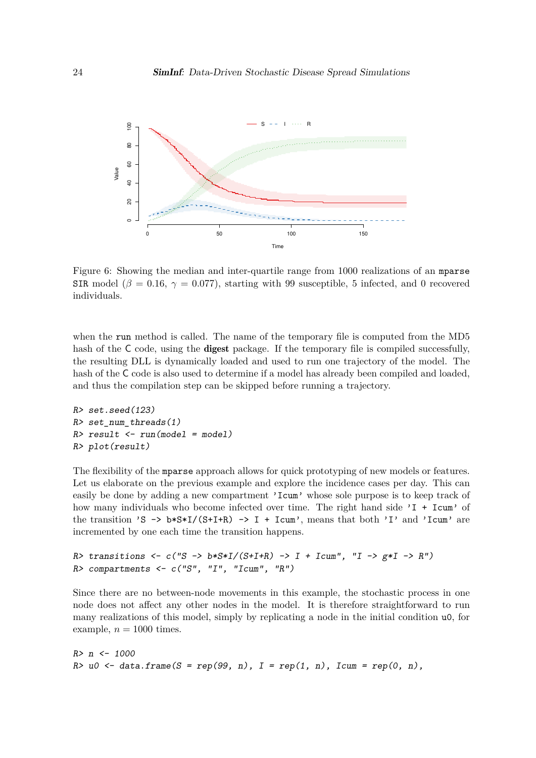

Figure 6: Showing the median and inter-quartile range from 1000 realizations of an mparse SIR model ( $\beta = 0.16$ ,  $\gamma = 0.077$ ), starting with 99 susceptible, 5 infected, and 0 recovered individuals.

when the run method is called. The name of the temporary file is computed from the MD5 hash of the C code, using the **digest** package. If the temporary file is compiled successfully, the resulting DLL is dynamically loaded and used to run one trajectory of the model. The hash of the C code is also used to determine if a model has already been compiled and loaded, and thus the compilation step can be skipped before running a trajectory.

```
R> set.seed(123)
R> set_num_threads(1)
R> result <- run(model = model)
R> plot(result)
```
The flexibility of the mparse approach allows for quick prototyping of new models or features. Let us elaborate on the previous example and explore the incidence cases per day. This can easily be done by adding a new compartment 'Icum' whose sole purpose is to keep track of how many individuals who become infected over time. The right hand side 'I + Icum' of the transition 'S  $\rightarrow$  b\*S\*I/(S+I+R)  $\rightarrow$  I + Icum', means that both 'I' and 'Icum' are incremented by one each time the transition happens.

```
R> transitions <- c("S -> b*S*I/(S+I+R) -> I + Icum", "I -> g*I -> R")
R> compartments <- c("S", "I", "Icum", "R")
```
Since there are no between-node movements in this example, the stochastic process in one node does not affect any other nodes in the model. It is therefore straightforward to run many realizations of this model, simply by replicating a node in the initial condition u0, for example,  $n = 1000$  times.

*R> n <- 1000*  $R > u0$  <- data.frame( $S = rep(99, n)$ ,  $I = rep(1, n)$ , Icum = rep(0, n),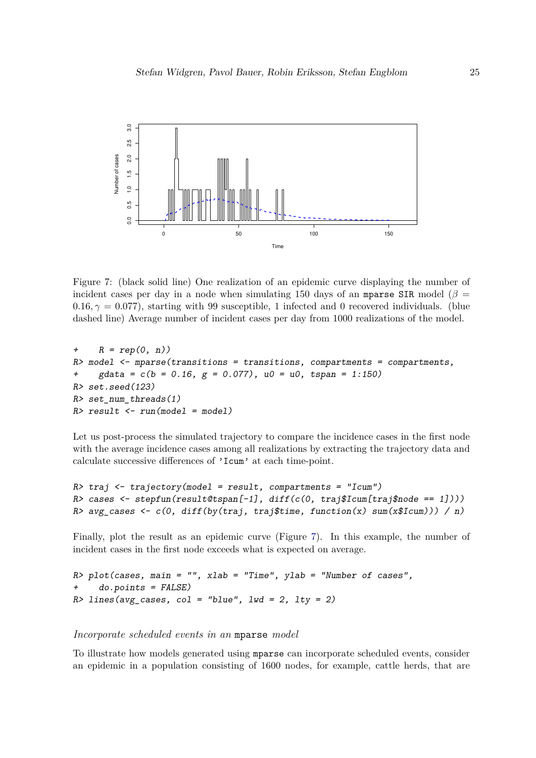<span id="page-24-1"></span>

Figure 7: (black solid line) One realization of an epidemic curve displaying the number of incident cases per day in a node when simulating 150 days of an mparse SIR model ( $\beta$  =  $0.16, \gamma = 0.077$ ), starting with 99 susceptible, 1 infected and 0 recovered individuals. (blue dashed line) Average number of incident cases per day from 1000 realizations of the model.

```
+ R = rep(0, n))
R> model <- mparse(transitions = transitions, compartments = compartments,
+ gdata = c(b = 0.16, g = 0.077), u0 = u0, tspan = 1:150)
R> set.seed(123)
R> set_num_threads(1)
R> result <- run(model = model)
```
Let us post-process the simulated trajectory to compare the incidence cases in the first node with the average incidence cases among all realizations by extracting the trajectory data and calculate successive differences of 'Icum' at each time-point.

```
R> traj <- trajectory(model = result, compartments = "Icum")
R> cases <- stepfun(result@tspan[-1], diff(c(0, traj$Icum[traj$node == 1])))
R> avg_cases <- c(0, diff(by(traj, traj$time, function(x) sum(x$Icum))) / n)
```
Finally, plot the result as an epidemic curve (Figure [7\)](#page-24-1). In this example, the number of incident cases in the first node exceeds what is expected on average.

*R> plot(cases, main = "", xlab = "Time", ylab = "Number of cases", + do.points = FALSE) R> lines(avg\_cases, col = "blue", lwd = 2, lty = 2)*

<span id="page-24-0"></span>*Incorporate scheduled events in an* mparse *model*

To illustrate how models generated using mparse can incorporate scheduled events, consider an epidemic in a population consisting of 1600 nodes, for example, cattle herds, that are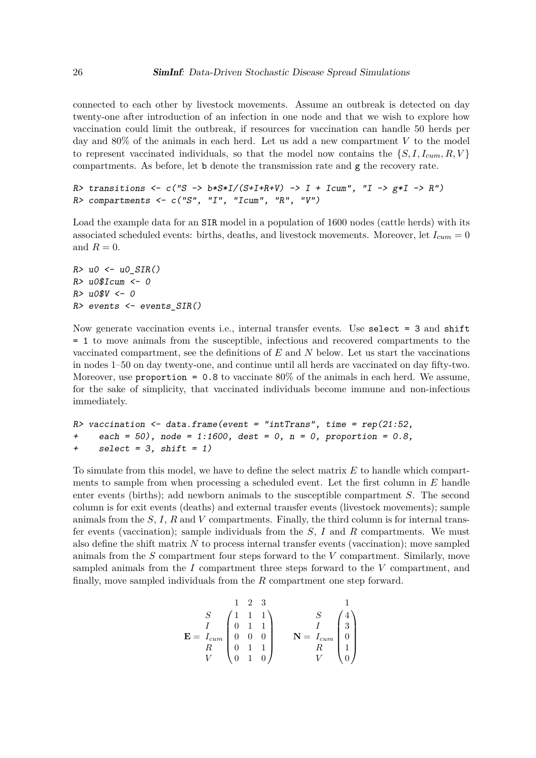connected to each other by livestock movements. Assume an outbreak is detected on day twenty-one after introduction of an infection in one node and that we wish to explore how vaccination could limit the outbreak, if resources for vaccination can handle 50 herds per day and 80% of the animals in each herd. Let us add a new compartment *V* to the model to represent vaccinated individuals, so that the model now contains the  $\{S, I, I_{cum}, R, V\}$ compartments. As before, let b denote the transmission rate and g the recovery rate.

```
R> transitions <- c("S -> b*S*I/(S+I+R+V) -> I + Icum", "I -> g*I -> R")
R> compartments <- c("S", "I", "Icum", "R", "V")
```
Load the example data for an SIR model in a population of 1600 nodes (cattle herds) with its associated scheduled events: births, deaths, and livestock movements. Moreover, let  $I_{cum} = 0$ and  $R = 0$ .

```
R> u0 <- u0_SIR()
R> u0$Icum <- 0
R> u0$V <- 0
R> events <- events_SIR()
```
Now generate vaccination events i.e., internal transfer events. Use select = 3 and shift = 1 to move animals from the susceptible, infectious and recovered compartments to the vaccinated compartment, see the definitions of *E* and *N* below. Let us start the vaccinations in nodes 1–50 on day twenty-one, and continue until all herds are vaccinated on day fifty-two. Moreover, use proportion =  $0.8$  to vaccinate  $80\%$  of the animals in each herd. We assume, for the sake of simplicity, that vaccinated individuals become immune and non-infectious immediately.

```
R> vaccination <- data.frame(event = "intTrans", time = rep(21:52,
+ each = 50), node = 1:1600, dest = 0, n = 0, proportion = 0.8,
+ select = 3, shift = 1)
```
To simulate from this model, we have to define the select matrix *E* to handle which compartments to sample from when processing a scheduled event. Let the first column in *E* handle enter events (births); add newborn animals to the susceptible compartment *S*. The second column is for exit events (deaths) and external transfer events (livestock movements); sample animals from the *S*, *I*, *R* and *V* compartments. Finally, the third column is for internal transfer events (vaccination); sample individuals from the *S*, *I* and *R* compartments. We must also define the shift matrix *N* to process internal transfer events (vaccination); move sampled animals from the *S* compartment four steps forward to the *V* compartment. Similarly, move sampled animals from the *I* compartment three steps forward to the *V* compartment, and finally, move sampled individuals from the *R* compartment one step forward.

$$
\mathbf{E} = \begin{bmatrix} & & 1 & 2 & 3 & & 1 \\ S & & & 1 & 1 & 1 & 1 \\ I & 0 & 1 & 1 & 1 & I \\ I & 0 & 0 & 0 & 0 & 0 \\ R & 0 & 1 & 1 & 1 & 1 \\ V & 0 & 1 & 0 & 0 & V \end{bmatrix} \quad \mathbf{N} = \begin{bmatrix} S & 4 \\ S \\ I_{cum} & 0 \\ R \\ V & 0 \end{bmatrix}
$$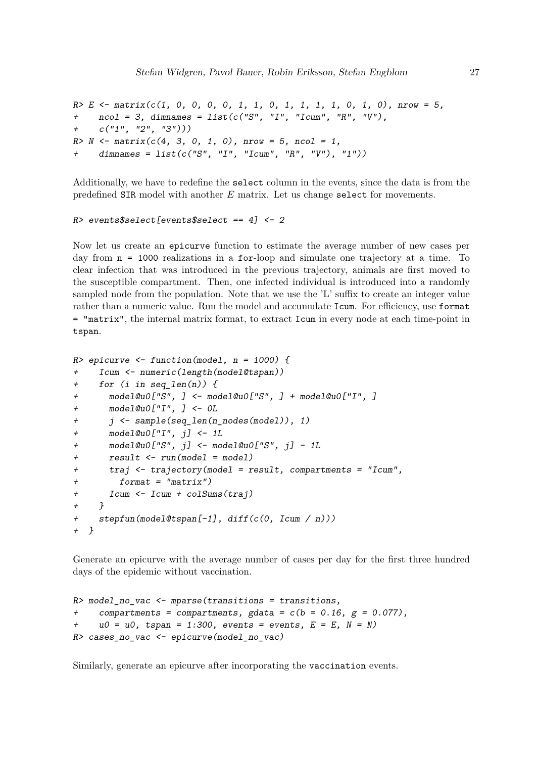```
R> E <- matrix(c(1, 0, 0, 0, 0, 1, 1, 0, 1, 1, 1, 1, 0, 1, 0), nrow = 5,
+ ncol = 3, dimnames = list(c("S", "I", "Icum", "R", "V"),
+ c("1", "2", "3")))
R> N <- matrix(c(4, 3, 0, 1, 0), nrow = 5, ncol = 1,
    + dimnames = list(c("S", "I", "Icum", "R", "V"), "1"))
```
Additionally, we have to redefine the select column in the events, since the data is from the predefined SIR model with another *E* matrix. Let us change select for movements.

#### *R> events\$select[events\$select == 4] <- 2*

Now let us create an epicurve function to estimate the average number of new cases per day from n = 1000 realizations in a for-loop and simulate one trajectory at a time. To clear infection that was introduced in the previous trajectory, animals are first moved to the susceptible compartment. Then, one infected individual is introduced into a randomly sampled node from the population. Note that we use the 'L' suffix to create an integer value rather than a numeric value. Run the model and accumulate Icum. For efficiency, use format = "matrix", the internal matrix format, to extract Icum in every node at each time-point in tspan.

```
R> epicurve <- function(model, n = 1000) {
+ Icum <- numeric(length(model@tspan))
+ for (i in seq_len(n)) {
+ model@u0["S", ] <- model@u0["S", ] + model@u0["I", ]
+ model@u0["I", ] <- 0L
+ j <- sample(seq_len(n_nodes(model)), 1)
+ model@u0["I", j] <- 1L
+ model@u0["S", j] <- model@u0["S", j] - 1L
+ result <- run(model = model)
+ traj <- trajectory(model = result, compartments = "Icum",
+ format = "matrix")
+ Icum <- Icum + colSums(traj)
+ }
+ stepfun(model@tspan[-1], diff(c(0, Icum / n)))
+ }
```
Generate an epicurve with the average number of cases per day for the first three hundred days of the epidemic without vaccination.

```
R> model_no_vac <- mparse(transitions = transitions,
+ compartments = compartments, gdata = c(b = 0.16, g = 0.077),
    u0 = u0, tspan = 1:300, events = events, E = E, N = N)
R> cases_no_vac <- epicurve(model_no_vac)
```
Similarly, generate an epicurve after incorporating the vaccination events.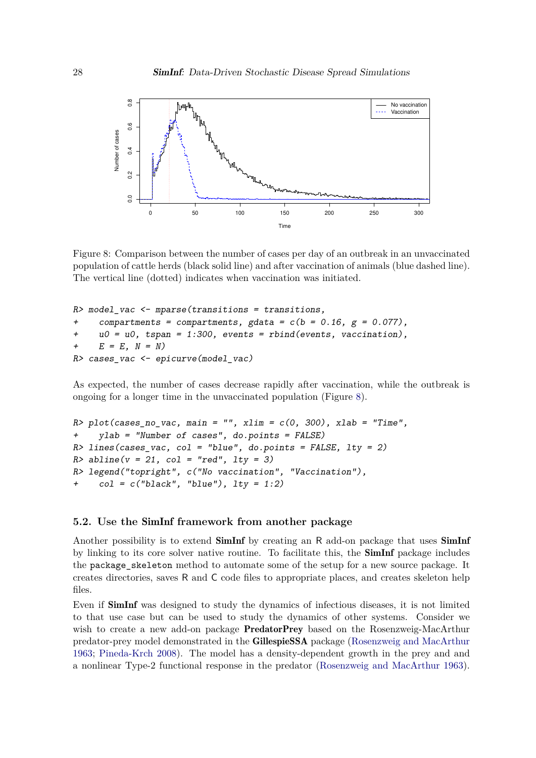<span id="page-27-0"></span>

Figure 8: Comparison between the number of cases per day of an outbreak in an unvaccinated population of cattle herds (black solid line) and after vaccination of animals (blue dashed line). The vertical line (dotted) indicates when vaccination was initiated.

```
R> model_vac <- mparse(transitions = transitions,
+ compartments = compartments, gdata = c(b = 0.16, g = 0.077),
+ u0 = u0, tspan = 1:300, events = rbind(events, vaccination),
+ E = E, N = N)
R> cases_vac <- epicurve(model_vac)
```
As expected, the number of cases decrease rapidly after vaccination, while the outbreak is ongoing for a longer time in the unvaccinated population (Figure [8\)](#page-27-0).

```
R> plot(cases_no_vac, main = "", xlim = c(0, 300), xlab = "Time",
+ ylab = "Number of cases", do.points = FALSE)
R> lines(cases_vac, col = "blue", do.points = FALSE, lty = 2)
R> abline(v = 21, col = "red", lty = 3)
R> legend("topright", c("No vaccination", "Vaccination"),
     col = c("black", "blue"), Ity = 1:2)
```
#### **5.2. Use the** SimInf **framework from another package**

Another possibility is to extend **SimInf** by creating an R add-on package that uses **SimInf** by linking to its core solver native routine. To facilitate this, the SimInf package includes the package\_skeleton method to automate some of the setup for a new source package. It creates directories, saves R and C code files to appropriate places, and creates skeleton help files.

Even if SimInf was designed to study the dynamics of infectious diseases, it is not limited to that use case but can be used to study the dynamics of other systems. Consider we wish to create a new add-on package **PredatorPrey** based on the Rosenzweig-MacArthur predator-prey model demonstrated in the GillespieSSA package [\(Rosenzweig and MacArthur](#page-34-12) [1963;](#page-34-12) [Pineda-Krch 2008\)](#page-34-4). The model has a density-dependent growth in the prey and and a nonlinear Type-2 functional response in the predator [\(Rosenzweig and MacArthur 1963\)](#page-34-12).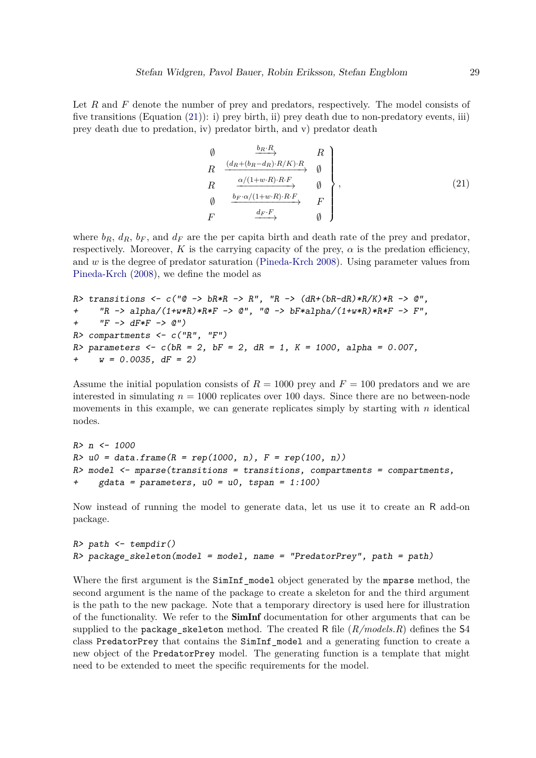Let R and F denote the number of prey and predators, respectively. The model consists of five transitions (Equation [\(21\)](#page-28-0)): i) prey birth, ii) prey death due to non-predatory events, iii) prey death due to predation, iv) predator birth, and v) predator death

<span id="page-28-0"></span>
$$
\begin{array}{c}\n\emptyset & \xrightarrow{b_R \cdot R} & R \\
R & \xrightarrow{(d_R + (b_R - d_R) \cdot R/K) \cdot R} & \emptyset \\
R & \xrightarrow{\alpha/(1+w \cdot R) \cdot R \cdot F} & \emptyset \\
\emptyset & \xrightarrow{b_F \cdot \alpha/(1+w \cdot R) \cdot R \cdot F} & F \\
F & \xrightarrow{d_F \cdot F} & \emptyset\n\end{array}
$$
\n(21)

where  $b_R$ ,  $d_R$ ,  $b_F$ , and  $d_F$  are the per capita birth and death rate of the prey and predator, respectively. Moreover, K is the carrying capacity of the prey,  $\alpha$  is the predation efficiency, and *w* is the degree of predator saturation [\(Pineda-Krch 2008\)](#page-34-4). Using parameter values from [Pineda-Krch](#page-34-4) [\(2008\)](#page-34-4), we define the model as

```
R> transitions <- c("@ -> bR*R -> R", "R -> (dR+(bR-dR)*R/K)*R -> @",
+ "R -> alpha/(1+w*R)*R*F -> @", "@ -> bF*alpha/(1+w*R)*R*F -> F",
+ "F -> dF*F -> @")
R> compartments <- c("R", "F")
R> parameters <- c(bR = 2, bF = 2, dR = 1, K = 1000, alpha = 0.007,
+ w = 0.0035, dF = 2)
```
Assume the initial population consists of  $R = 1000$  prey and  $F = 100$  predators and we are interested in simulating  $n = 1000$  replicates over 100 days. Since there are no between-node movements in this example, we can generate replicates simply by starting with *n* identical nodes.

```
R> n <- 1000
R> u0 = data.frame(R = rep(1000, n), F = rep(100, n))
R> model <- mparse(transitions = transitions, compartments = compartments,
+ gdata = parameters, u0 = u0, tspan = 1:100)
```
Now instead of running the model to generate data, let us use it to create an R add-on package.

```
R> path <- tempdir()
R> package_skeleton(model = model, name = "PredatorPrey", path = path)
```
Where the first argument is the SimInf\_model object generated by the mparse method, the second argument is the name of the package to create a skeleton for and the third argument is the path to the new package. Note that a temporary directory is used here for illustration of the functionality. We refer to the SimInf documentation for other arguments that can be supplied to the package\_skeleton method. The created R file (*R/models.R*) defines the S4 class PredatorPrey that contains the SimInf\_model and a generating function to create a new object of the PredatorPrey model. The generating function is a template that might need to be extended to meet the specific requirements for the model.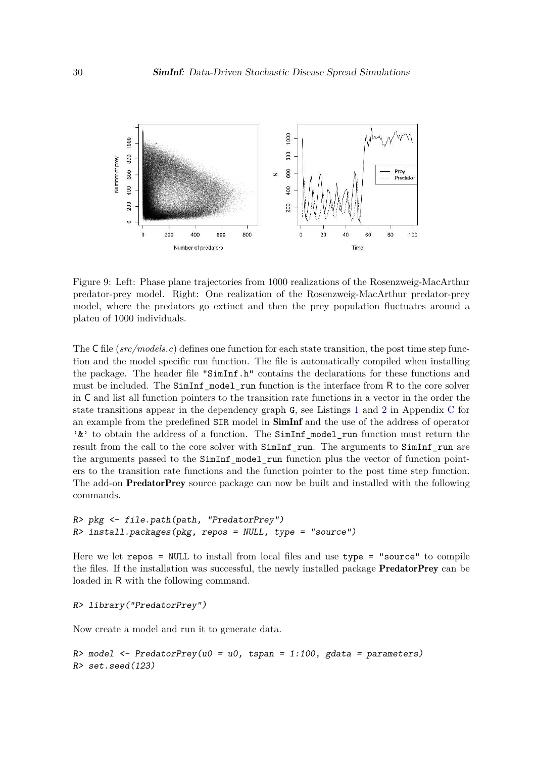<span id="page-29-0"></span>

Figure 9: Left: Phase plane trajectories from 1000 realizations of the Rosenzweig-MacArthur predator-prey model. Right: One realization of the Rosenzweig-MacArthur predator-prey model, where the predators go extinct and then the prey population fluctuates around a plateu of 1000 individuals.

The C file (*src/models.c*) defines one function for each state transition, the post time step function and the model specific run function. The file is automatically compiled when installing the package. The header file "SimInf.h" contains the declarations for these functions and must be included. The SimInf\_model\_run function is the interface from R to the core solver in C and list all function pointers to the transition rate functions in a vector in the order the state transitions appear in the dependency graph G, see Listings [1](#page-40-0) and [2](#page-40-2) in Appendix [C](#page-40-1) for an example from the predefined SIR model in SimInf and the use of the address of operator ' $\&$ ' to obtain the address of a function. The SimInf model run function must return the result from the call to the core solver with SimInf run. The arguments to SimInf run are the arguments passed to the SimInf model run function plus the vector of function pointers to the transition rate functions and the function pointer to the post time step function. The add-on PredatorPrey source package can now be built and installed with the following commands.

```
R> pkg <- file.path(path, "PredatorPrey")
R> install.packages(pkg, repos = NULL, type = "source")
```
Here we let  $\texttt{repos} = \texttt{NULL}$  to install from local files and use  $\texttt{type} = \texttt{``source''}$  to compile the files. If the installation was successful, the newly installed package PredatorPrey can be loaded in R with the following command.

```
R> library("PredatorPrey")
```
Now create a model and run it to generate data.

*R> model <- PredatorPrey(u0 = u0, tspan = 1:100, gdata = parameters) R> set.seed(123)*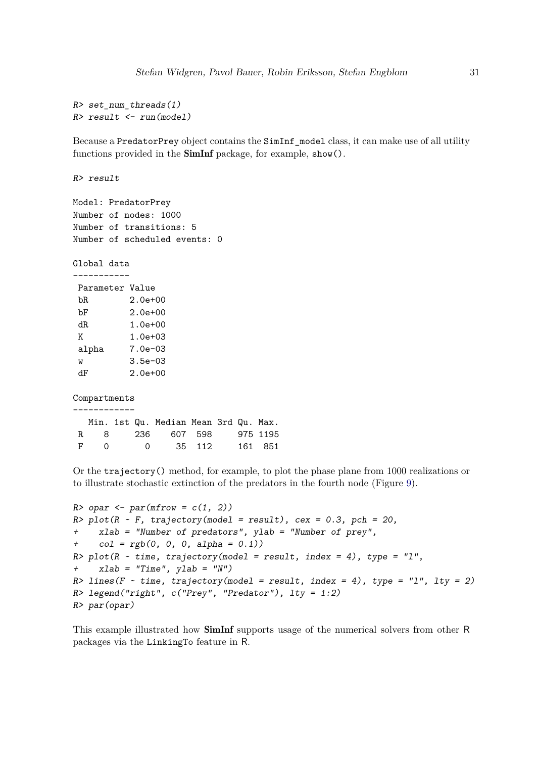```
R> set_num_threads(1)
R> result <- run(model)
```
Because a PredatorPrey object contains the SimInf\_model class, it can make use of all utility functions provided in the SimInf package, for example, show().

*R> result*

Model: PredatorPrey Number of nodes: 1000 Number of transitions: 5 Number of scheduled events: 0

Global data -----------

| Parameter Value |              |
|-----------------|--------------|
| bR.             | $2.0e + 00$  |
| bF              | $2.0e + 00$  |
| dR              | $1.0e + 00$  |
| K               | $1.0e + 0.3$ |
| alpha           | $7.0e - 0.3$ |
| W               | $3.5e - 0.3$ |
| dĿ              | $2.0e + 00$  |

Compartments ------------

|          |  | Min. 1st Qu. Median Mean 3rd Qu. Max. |  |         |
|----------|--|---------------------------------------|--|---------|
| R. 8     |  | 236 607 598 975 1195                  |  |         |
| $F \cap$ |  | 0 35 112                              |  | 161 851 |

Or the trajectory() method, for example, to plot the phase plane from 1000 realizations or to illustrate stochastic extinction of the predators in the fourth node (Figure [9\)](#page-29-0).

```
R> opar <- par(mfrow = c(1, 2))
R> plot(R ~ F, trajectory(model = result), cex = 0.3, pch = 20,
+ xlab = "Number of predators", ylab = "Number of prey",
+ col = rgb(0, 0, 0, alpha = 0.1))
R> plot(R ~ time, trajectory(model = result, index = 4), type = "l",
+ xlab = "Time", ylab = "N")
R> lines(F ~ time, trajectory(model = result, index = 4), type = "l", lty = 2)
R> legend("right", c("Prey", "Predator"), lty = 1:2)
R> par(opar)
```
<span id="page-30-0"></span>This example illustrated how SimInf supports usage of the numerical solvers from other R packages via the LinkingTo feature in R.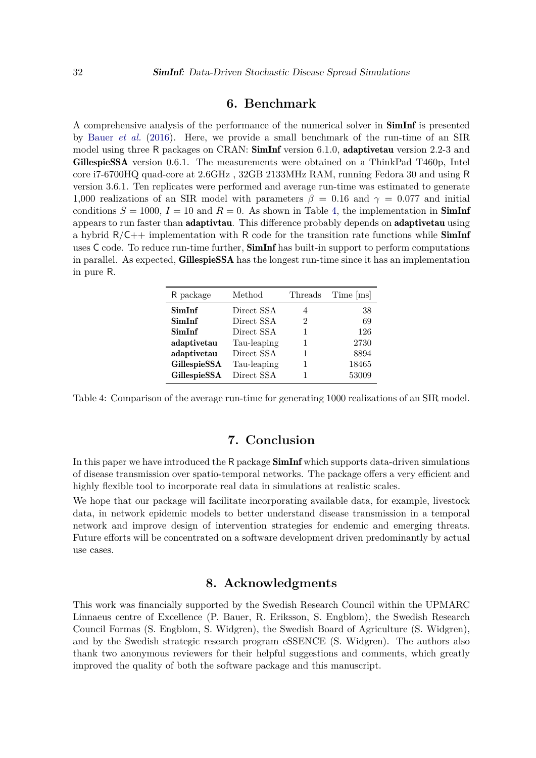### **6. Benchmark**

A comprehensive analysis of the performance of the numerical solver in SimInf is presented by [Bauer](#page-32-1) *et al.* [\(2016\)](#page-32-1). Here, we provide a small benchmark of the run-time of an SIR model using three R packages on CRAN: **SimInf** version 6.1.0, **adaptivetau** version 2.2-3 and GillespieSSA version 0.6.1. The measurements were obtained on a ThinkPad T460p, Intel core i7-6700HQ quad-core at 2.6GHz , 32GB 2133MHz RAM, running Fedora 30 and using R version 3.6.1. Ten replicates were performed and average run-time was estimated to generate 1,000 realizations of an SIR model with parameters  $\beta = 0.16$  and  $\gamma = 0.077$  and initial conditions  $S = 1000$ ,  $I = 10$  and  $R = 0$ . As shown in Table [4,](#page-31-0) the implementation in **SimInf** appears to run faster than adaptivtau. This difference probably depends on adaptivetau using a hybrid  $R/C++$  implementation with R code for the transition rate functions while **SimInf** uses  $C$  code. To reduce run-time further,  $\mathbf{SimInf}$  has built-in support to perform computations in parallel. As expected, GillespieSSA has the longest run-time since it has an implementation in pure R.

<span id="page-31-0"></span>

| R package    | Method      | Threads | Time [ms] |
|--------------|-------------|---------|-----------|
| SimInf       | Direct SSA  | 4       | 38        |
| SimInf       | Direct SSA  | 2       | 69        |
| SimInf       | Direct SSA  | 1       | 126       |
| adaptivetau  | Tau-leaping | 1       | 2730      |
| adaptivetau  | Direct SSA  |         | 8894      |
| GillespieSSA | Tau-leaping |         | 18465     |
| GillespieSSA | Direct SSA  |         | 53009     |

Table 4: Comparison of the average run-time for generating 1000 realizations of an SIR model.

# **7. Conclusion**

In this paper we have introduced the R package **SimInf** which supports data-driven simulations of disease transmission over spatio-temporal networks. The package offers a very efficient and highly flexible tool to incorporate real data in simulations at realistic scales.

We hope that our package will facilitate incorporating available data, for example, livestock data, in network epidemic models to better understand disease transmission in a temporal network and improve design of intervention strategies for endemic and emerging threats. Future efforts will be concentrated on a software development driven predominantly by actual use cases.

## **8. Acknowledgments**

This work was financially supported by the Swedish Research Council within the UPMARC Linnaeus centre of Excellence (P. Bauer, R. Eriksson, S. Engblom), the Swedish Research Council Formas (S. Engblom, S. Widgren), the Swedish Board of Agriculture (S. Widgren), and by the Swedish strategic research program eSSENCE (S. Widgren). The authors also thank two anonymous reviewers for their helpful suggestions and comments, which greatly improved the quality of both the software package and this manuscript.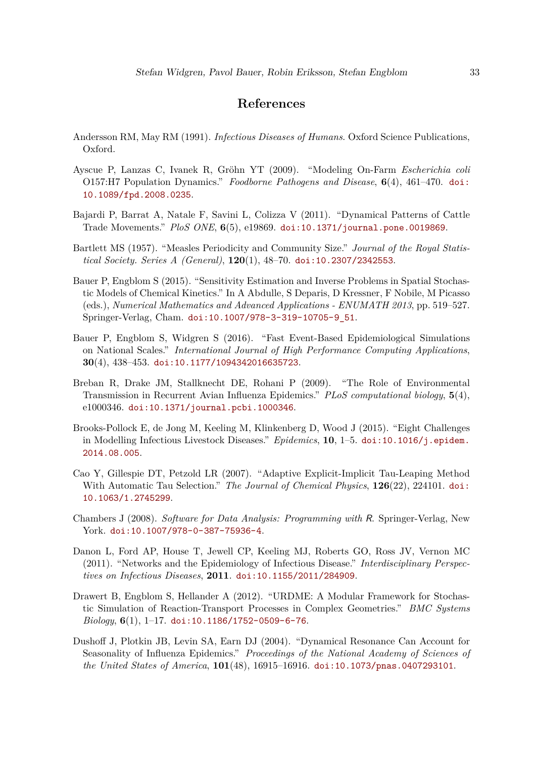# **References**

- <span id="page-32-3"></span>Andersson RM, May RM (1991). *Infectious Diseases of Humans*. Oxford Science Publications, Oxford.
- <span id="page-32-9"></span>Ayscue P, Lanzas C, Ivanek R, Gröhn YT (2009). "Modeling On-Farm *Escherichia coli* O157:H7 Population Dynamics." *Foodborne Pathogens and Disease*, **6**(4), 461–470. [doi:](https://doi.org/10.1089/fpd.2008.0235) [10.1089/fpd.2008.0235](https://doi.org/10.1089/fpd.2008.0235).
- <span id="page-32-8"></span>Bajardi P, Barrat A, Natale F, Savini L, Colizza V (2011). "Dynamical Patterns of Cattle Trade Movements." *PloS ONE*, **6**(5), e19869. [doi:10.1371/journal.pone.0019869](https://doi.org/10.1371/journal.pone.0019869).
- <span id="page-32-4"></span>Bartlett MS (1957). "Measles Periodicity and Community Size." *Journal of the Royal Statistical Society. Series A (General)*, **120**(1), 48–70. [doi:10.2307/2342553](https://doi.org/10.2307/2342553).
- <span id="page-32-12"></span>Bauer P, Engblom S (2015). "Sensitivity Estimation and Inverse Problems in Spatial Stochastic Models of Chemical Kinetics." In A Abdulle, S Deparis, D Kressner, F Nobile, M Picasso (eds.), *Numerical Mathematics and Advanced Applications - ENUMATH 2013*, pp. 519–527. Springer-Verlag, Cham. [doi:10.1007/978-3-319-10705-9\\_51](https://doi.org/10.1007/978-3-319-10705-9_51).
- <span id="page-32-1"></span>Bauer P, Engblom S, Widgren S (2016). "Fast Event-Based Epidemiological Simulations on National Scales." *International Journal of High Performance Computing Applications*, **30**(4), 438–453. [doi:10.1177/1094342016635723](https://doi.org/10.1177/1094342016635723).
- <span id="page-32-6"></span>Breban R, Drake JM, Stallknecht DE, Rohani P (2009). "The Role of Environmental Transmission in Recurrent Avian Influenza Epidemics." *PLoS computational biology*, **5**(4), e1000346. [doi:10.1371/journal.pcbi.1000346](https://doi.org/10.1371/journal.pcbi.1000346).
- <span id="page-32-0"></span>Brooks-Pollock E, de Jong M, Keeling M, Klinkenberg D, Wood J (2015). "Eight Challenges in Modelling Infectious Livestock Diseases." *Epidemics*, **10**, 1–5. [doi:10.1016/j.epidem.](https://doi.org/10.1016/j.epidem.2014.08.005) [2014.08.005](https://doi.org/10.1016/j.epidem.2014.08.005).
- <span id="page-32-2"></span>Cao Y, Gillespie DT, Petzold LR (2007). "Adaptive Explicit-Implicit Tau-Leaping Method With Automatic Tau Selection." *The Journal of Chemical Physics*, **126**(22), 224101. [doi:](https://doi.org/10.1063/1.2745299) [10.1063/1.2745299](https://doi.org/10.1063/1.2745299).
- <span id="page-32-11"></span>Chambers J (2008). *Software for Data Analysis: Programming with* R. Springer-Verlag, New York. [doi:10.1007/978-0-387-75936-4](https://doi.org/10.1007/978-0-387-75936-4).
- <span id="page-32-7"></span>Danon L, Ford AP, House T, Jewell CP, Keeling MJ, Roberts GO, Ross JV, Vernon MC (2011). "Networks and the Epidemiology of Infectious Disease." *Interdisciplinary Perspectives on Infectious Diseases*, **2011**. [doi:10.1155/2011/284909](https://doi.org/10.1155/2011/284909).
- <span id="page-32-10"></span>Drawert B, Engblom S, Hellander A (2012). "URDME: A Modular Framework for Stochastic Simulation of Reaction-Transport Processes in Complex Geometries." *BMC Systems Biology*, **6**(1), 1–17. [doi:10.1186/1752-0509-6-76](https://doi.org/10.1186/1752-0509-6-76).
- <span id="page-32-5"></span>Dushoff J, Plotkin JB, Levin SA, Earn DJ (2004). "Dynamical Resonance Can Account for Seasonality of Influenza Epidemics." *Proceedings of the National Academy of Sciences of the United States of America*, **101**(48), 16915–16916. [doi:10.1073/pnas.0407293101](https://doi.org/10.1073/pnas.0407293101).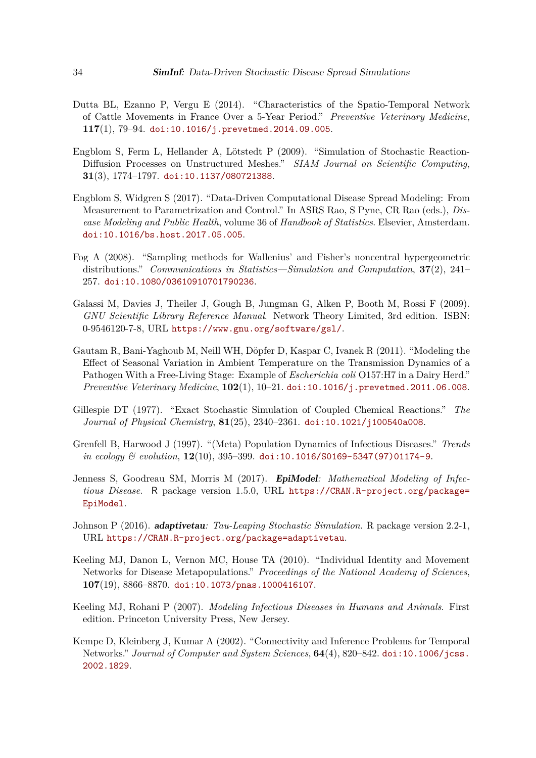- <span id="page-33-7"></span>Dutta BL, Ezanno P, Vergu E (2014). "Characteristics of the Spatio-Temporal Network of Cattle Movements in France Over a 5-Year Period." *Preventive Veterinary Medicine*, **117**(1), 79–94. [doi:10.1016/j.prevetmed.2014.09.005](https://doi.org/10.1016/j.prevetmed.2014.09.005).
- <span id="page-33-9"></span>Engblom S, Ferm L, Hellander A, Lötstedt P (2009). "Simulation of Stochastic Reaction-Diffusion Processes on Unstructured Meshes." *SIAM Journal on Scientific Computing*, **31**(3), 1774–1797. [doi:10.1137/080721388](https://doi.org/10.1137/080721388).
- <span id="page-33-8"></span>Engblom S, Widgren S (2017). "Data-Driven Computational Disease Spread Modeling: From Measurement to Parametrization and Control." In ASRS Rao, S Pyne, CR Rao (eds.), *Disease Modeling and Public Health*, volume 36 of *Handbook of Statistics*. Elsevier, Amsterdam. [doi:10.1016/bs.host.2017.05.005](https://doi.org/10.1016/bs.host.2017.05.005).
- <span id="page-33-11"></span>Fog A (2008). "Sampling methods for Wallenius' and Fisher's noncentral hypergeometric distributions." *Communications in Statistics—Simulation and Computation*, **37**(2), 241– 257. [doi:10.1080/03610910701790236](https://doi.org/10.1080/03610910701790236).
- <span id="page-33-10"></span>Galassi M, Davies J, Theiler J, Gough B, Jungman G, Alken P, Booth M, Rossi F (2009). *GNU Scientific Library Reference Manual*. Network Theory Limited, 3rd edition. ISBN: 0-9546120-7-8, URL <https://www.gnu.org/software/gsl/>.
- <span id="page-33-12"></span>Gautam R, Bani-Yaghoub M, Neill WH, Döpfer D, Kaspar C, Ivanek R (2011). "Modeling the Effect of Seasonal Variation in Ambient Temperature on the Transmission Dynamics of a Pathogen With a Free-Living Stage: Example of *Escherichia coli* O157:H7 in a Dairy Herd." *Preventive Veterinary Medicine*, **102**(1), 10–21. [doi:10.1016/j.prevetmed.2011.06.008](https://doi.org/10.1016/j.prevetmed.2011.06.008).
- <span id="page-33-2"></span>Gillespie DT (1977). "Exact Stochastic Simulation of Coupled Chemical Reactions." *The Journal of Physical Chemistry*, **81**(25), 2340–2361. [doi:10.1021/j100540a008](https://doi.org/10.1021/j100540a008).
- <span id="page-33-0"></span>Grenfell B, Harwood J (1997). "(Meta) Population Dynamics of Infectious Diseases." *Trends in ecology & evolution*, **12**(10), 395–399. [doi:10.1016/S0169-5347\(97\)01174-9](https://doi.org/10.1016/S0169-5347(97)01174-9).
- <span id="page-33-4"></span>Jenness S, Goodreau SM, Morris M (2017). EpiModel*: Mathematical Modeling of Infectious Disease*. R package version 1.5.0, URL [https://CRAN.R-project.org/package=](https://CRAN.R-project.org/package=EpiModel) [EpiModel](https://CRAN.R-project.org/package=EpiModel).
- <span id="page-33-3"></span>Johnson P (2016). adaptivetau*: Tau-Leaping Stochastic Simulation*. R package version 2.2-1, URL <https://CRAN.R-project.org/package=adaptivetau>.
- <span id="page-33-1"></span>Keeling MJ, Danon L, Vernon MC, House TA (2010). "Individual Identity and Movement Networks for Disease Metapopulations." *Proceedings of the National Academy of Sciences*, **107**(19), 8866–8870. [doi:10.1073/pnas.1000416107](https://doi.org/10.1073/pnas.1000416107).
- <span id="page-33-5"></span>Keeling MJ, Rohani P (2007). *Modeling Infectious Diseases in Humans and Animals*. First edition. Princeton University Press, New Jersey.
- <span id="page-33-6"></span>Kempe D, Kleinberg J, Kumar A (2002). "Connectivity and Inference Problems for Temporal Networks." *Journal of Computer and System Sciences*, **64**(4), 820–842. [doi:10.1006/jcss.](https://doi.org/10.1006/jcss.2002.1829) [2002.1829](https://doi.org/10.1006/jcss.2002.1829).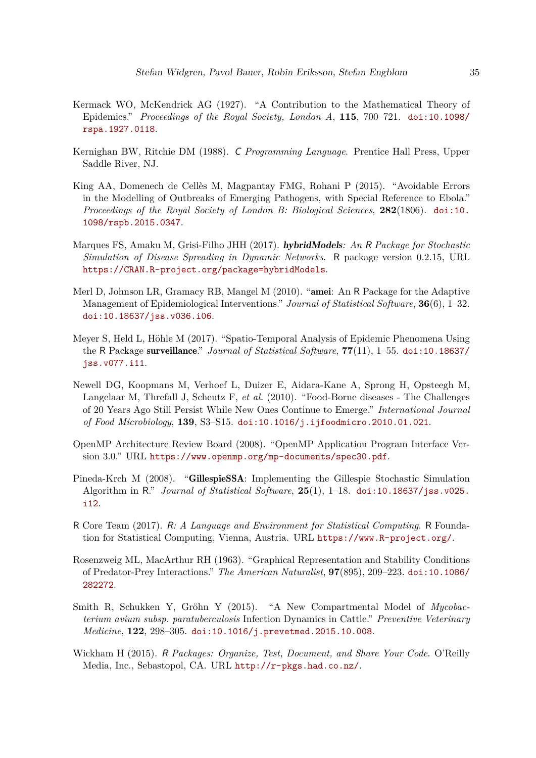- <span id="page-34-8"></span>Kermack WO, McKendrick AG (1927). "A Contribution to the Mathematical Theory of Epidemics." *Proceedings of the Royal Society, London A*, **115**, 700–721. [doi:10.1098/](https://doi.org/10.1098/rspa.1927.0118) [rspa.1927.0118](https://doi.org/10.1098/rspa.1927.0118).
- <span id="page-34-2"></span>Kernighan BW, Ritchie DM (1988). C *Programming Language*. Prentice Hall Press, Upper Saddle River, NJ.
- <span id="page-34-9"></span>King AA, Domenech de Cellès M, Magpantay FMG, Rohani P (2015). "Avoidable Errors in the Modelling of Outbreaks of Emerging Pathogens, with Special Reference to Ebola." *Proceedings of the Royal Society of London B: Biological Sciences*, **282**(1806). [doi:10.](https://doi.org/10.1098/rspb.2015.0347) [1098/rspb.2015.0347](https://doi.org/10.1098/rspb.2015.0347).
- <span id="page-34-5"></span>Marques FS, Amaku M, Grisi-Filho JHH (2017). hybridModels*: An* R *Package for Stochastic Simulation of Disease Spreading in Dynamic Networks*. R package version 0.2.15, URL <https://CRAN.R-project.org/package=hybridModels>.
- <span id="page-34-6"></span>Merl D, Johnson LR, Gramacy RB, Mangel M (2010). "amei: An R Package for the Adaptive Management of Epidemiological Interventions." *Journal of Statistical Software*, **36**(6), 1–32. [doi:10.18637/jss.v036.i06](https://doi.org/10.18637/jss.v036.i06).
- <span id="page-34-7"></span>Meyer S, Held L, Höhle M (2017). "Spatio-Temporal Analysis of Epidemic Phenomena Using the R Package surveillance." *Journal of Statistical Software*, **77**(11), 1–55. [doi:10.18637/](https://doi.org/10.18637/jss.v077.i11) [jss.v077.i11](https://doi.org/10.18637/jss.v077.i11).
- <span id="page-34-0"></span>Newell DG, Koopmans M, Verhoef L, Duizer E, Aidara-Kane A, Sprong H, Opsteegh M, Langelaar M, Threfall J, Scheutz F, *et al.* (2010). "Food-Borne diseases - The Challenges of 20 Years Ago Still Persist While New Ones Continue to Emerge." *International Journal of Food Microbiology*, **139**, S3–S15. [doi:10.1016/j.ijfoodmicro.2010.01.021](https://doi.org/10.1016/j.ijfoodmicro.2010.01.021).
- <span id="page-34-3"></span>OpenMP Architecture Review Board (2008). "OpenMP Application Program Interface Version 3.0." URL <https://www.openmp.org/mp-documents/spec30.pdf>.
- <span id="page-34-4"></span>Pineda-Krch M (2008). "GillespieSSA: Implementing the Gillespie Stochastic Simulation Algorithm in R." *Journal of Statistical Software*, **25**(1), 1–18. [doi:10.18637/jss.v025.](https://doi.org/10.18637/jss.v025.i12) [i12](https://doi.org/10.18637/jss.v025.i12).
- <span id="page-34-1"></span>R Core Team (2017). R*: A Language and Environment for Statistical Computing*. R Foundation for Statistical Computing, Vienna, Austria. URL <https://www.R-project.org/>.
- <span id="page-34-12"></span>Rosenzweig ML, MacArthur RH (1963). "Graphical Representation and Stability Conditions of Predator-Prey Interactions." *The American Naturalist*, **97**(895), 209–223. [doi:10.1086/](https://doi.org/10.1086/282272) [282272](https://doi.org/10.1086/282272).
- <span id="page-34-10"></span>Smith R, Schukken Y, Gröhn Y (2015). "A New Compartmental Model of *Mycobacterium avium subsp. paratuberculosis* Infection Dynamics in Cattle." *Preventive Veterinary Medicine*, **122**, 298–305. [doi:10.1016/j.prevetmed.2015.10.008](https://doi.org/10.1016/j.prevetmed.2015.10.008).
- <span id="page-34-11"></span>Wickham H (2015). R *Packages: Organize, Test, Document, and Share Your Code*. O'Reilly Media, Inc., Sebastopol, CA. URL <http://r-pkgs.had.co.nz/>.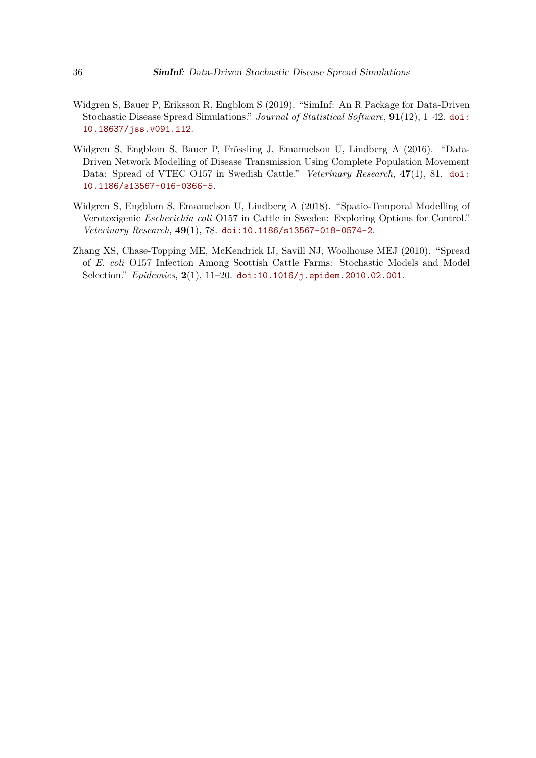- <span id="page-35-0"></span>Widgren S, Bauer P, Eriksson R, Engblom S (2019). "SimInf: An R Package for Data-Driven Stochastic Disease Spread Simulations." *Journal of Statistical Software*, **91**(12), 1–42. [doi:](https://doi.org/10.18637/jss.v091.i12) [10.18637/jss.v091.i12](https://doi.org/10.18637/jss.v091.i12).
- <span id="page-35-1"></span>Widgren S, Engblom S, Bauer P, Frössling J, Emanuelson U, Lindberg A (2016). "Data-Driven Network Modelling of Disease Transmission Using Complete Population Movement Data: Spread of VTEC O157 in Swedish Cattle." *Veterinary Research*, **47**(1), 81. [doi:](https://doi.org/10.1186/s13567-016-0366-5) [10.1186/s13567-016-0366-5](https://doi.org/10.1186/s13567-016-0366-5).
- <span id="page-35-2"></span>Widgren S, Engblom S, Emanuelson U, Lindberg A (2018). "Spatio-Temporal Modelling of Verotoxigenic *Escherichia coli* O157 in Cattle in Sweden: Exploring Options for Control." *Veterinary Research*, **49**(1), 78. [doi:10.1186/s13567-018-0574-2](https://doi.org/10.1186/s13567-018-0574-2).
- <span id="page-35-3"></span>Zhang XS, Chase-Topping ME, McKendrick IJ, Savill NJ, Woolhouse MEJ (2010). "Spread of *E. coli* O157 Infection Among Scottish Cattle Farms: Stochastic Models and Model Selection." *Epidemics*, **2**(1), 11–20. [doi:10.1016/j.epidem.2010.02.001](https://doi.org/10.1016/j.epidem.2010.02.001).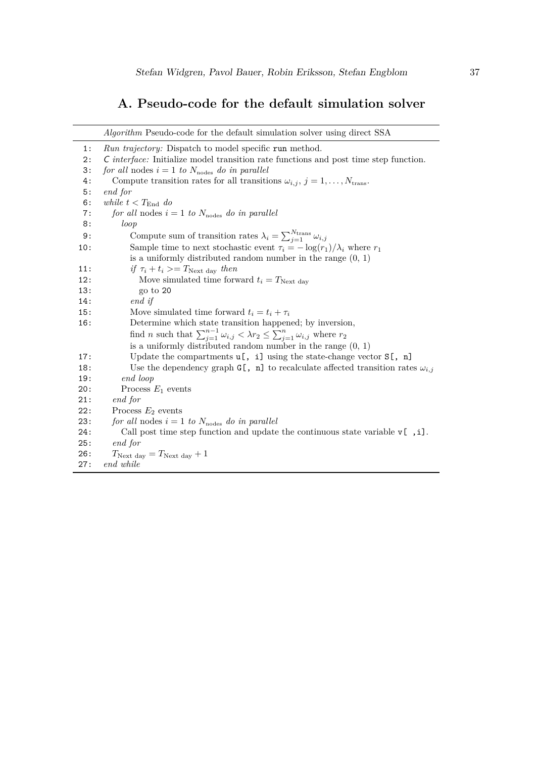# **A. Pseudo-code for the default simulation solver**

<span id="page-36-0"></span>

|     | <i>Algorithm</i> Pseudo-code for the default simulation solver using direct SSA                                   |
|-----|-------------------------------------------------------------------------------------------------------------------|
| 1:  | <i>Run trajectory:</i> Dispatch to model specific run method.                                                     |
| 2:  | C interface: Initialize model transition rate functions and post time step function.                              |
| 3:  | for all nodes $i = 1$ to $N_{\text{nodes}}$ do in parallel                                                        |
| 4:  | Compute transition rates for all transitions $\omega_{i,j}, j = 1, , N_{trans}.$                                  |
| 5:  | end for                                                                                                           |
| 6:  | while $t < T_{\text{End}}$ do                                                                                     |
| 7:  | for all nodes $i = 1$ to $N_{\text{nodes}}$ do in parallel                                                        |
| 8:  | loop                                                                                                              |
| 9:  | Compute sum of transition rates $\lambda_i = \sum_{j=1}^{N_{\text{trans}}} \omega_{i,j}$                          |
| 10: | Sample time to next stochastic event $\tau_i = -\log(r_1)/\lambda_i$ where $r_1$                                  |
|     | is a uniformly distributed random number in the range $(0, 1)$                                                    |
| 11: | if $\tau_i + t_i >=T_{\text{Next day}}$ then                                                                      |
| 12: | Move simulated time forward $t_i = T_{\text{Next day}}$                                                           |
| 13: | go to 20                                                                                                          |
| 14: | end if                                                                                                            |
| 15: | Move simulated time forward $t_i = t_i + \tau_i$                                                                  |
| 16: | Determine which state transition happened; by inversion,                                                          |
|     | find <i>n</i> such that $\sum_{j=1}^{n-1} \omega_{i,j} < \lambda r_2 \le \sum_{j=1}^{n} \omega_{i,j}$ where $r_2$ |
|     | is a uniformly distributed random number in the range $(0, 1)$                                                    |
| 17: | Update the compartments $u$ [, i] using the state-change vector $S$ [, n]                                         |
| 18: | Use the dependency graph G[, n] to recalculate affected transition rates $\omega_{i,j}$                           |
| 19: | end loop                                                                                                          |
| 20: | Process $E_1$ events                                                                                              |
| 21: | end for                                                                                                           |
| 22: | Process $E_2$ events                                                                                              |
| 23: | for all nodes $i = 1$ to $N_{\text{nodes}}$ do in parallel                                                        |
| 24: | Call post time step function and update the continuous state variable $\nu$ [, i].                                |
| 25: | end for                                                                                                           |
| 26: | $T_{\text{Next day}} = T_{\text{Next day}} + 1$                                                                   |
| 27: | end while                                                                                                         |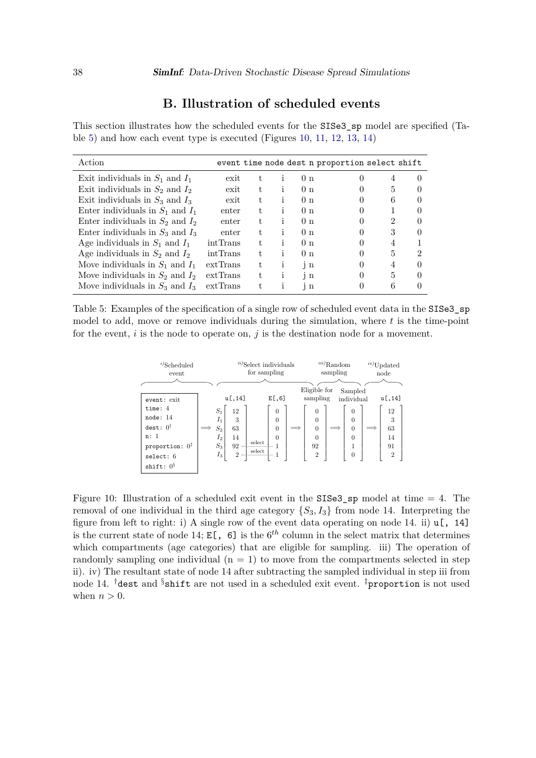# **B. Illustration of scheduled events**

<span id="page-37-1"></span>This section illustrates how the scheduled events for the SISe3\_sp model are specified (Table [5\)](#page-37-2) and how each event type is executed (Figures [10,](#page-37-0) [11,](#page-38-0) [12,](#page-38-0) [13,](#page-39-0) [14\)](#page-39-0)

<span id="page-37-2"></span>

| Action                               |          |    |    |                | event time node dest n proportion select shift |   |   |
|--------------------------------------|----------|----|----|----------------|------------------------------------------------|---|---|
| Exit individuals in $S_1$ and $I_1$  | exit     | t. |    | 0 <sub>n</sub> |                                                | 4 |   |
| Exit individuals in $S_2$ and $I_2$  | exit     | t. |    | 0 <sub>n</sub> |                                                | 5 |   |
| Exit individuals in $S_3$ and $I_3$  | exit     | t. |    | 0 <sub>n</sub> |                                                | 6 |   |
| Enter individuals in $S_1$ and $I_1$ | enter    | t. |    | 0 <sub>n</sub> |                                                |   |   |
| Enter individuals in $S_2$ and $I_2$ | enter    | t. |    | 0 <sub>n</sub> |                                                | 2 |   |
| Enter individuals in $S_3$ and $I_3$ | enter    | t. |    | 0 <sub>n</sub> |                                                | 3 |   |
| Age individuals in $S_1$ and $I_1$   | intTrans | t. |    | 0 <sub>n</sub> |                                                |   |   |
| Age individuals in $S_2$ and $I_2$   | intTrans | t. | Ť. | 0 <sub>n</sub> |                                                | 5 | 2 |
| Move individuals in $S_1$ and $I_1$  | extTrans | t. | Ť  | $\mathbf{i}$ n |                                                |   |   |
| Move individuals in $S_2$ and $I_2$  | extTrans | t. | Ť  | $\mathbf{i}$ n |                                                | 5 |   |
| Move individuals in $S_3$ and $I_3$  | extTrans |    |    | i n            |                                                |   |   |

<span id="page-37-0"></span>Table 5: Examples of the specification of a single row of scheduled event data in the SISe3\_sp model to add, move or remove individuals during the simulation, where *t* is the time-point for the event, *i* is the node to operate on, *j* is the destination node for a movement.

| $^{i)}$ Scheduled<br>event                                                                                          |            |                                                    |                                             | $\prescript{ii}{i}$ Select individuals<br>for sampling |                                              |                          |                                                                                        | $\prescript{iii}\mathbf{)}\mathrm{Random}$<br>sampling |                                                          | $\sqrt[iv]{\text{Update}}$<br>node          |  |
|---------------------------------------------------------------------------------------------------------------------|------------|----------------------------------------------------|---------------------------------------------|--------------------------------------------------------|----------------------------------------------|--------------------------|----------------------------------------------------------------------------------------|--------------------------------------------------------|----------------------------------------------------------|---------------------------------------------|--|
| event: exit                                                                                                         |            |                                                    | u[,14]                                      |                                                        | E[, 6]                                       |                          | Eligible for<br>sampling                                                               |                                                        | Sampled<br>individual                                    | u[,14]                                      |  |
| time: $4$<br>node: 14<br>dest: 0 <sup>†</sup><br>n: 1<br>proportion: $0^{\ddagger}$<br>select: 6<br>shift: $0^{\S}$ | $\implies$ | $S_1$<br>$I_1$<br>$S_2$<br>$I_2$<br>$S_3$<br>$I_3$ | 12<br>3<br>63<br>14<br>92<br>$\overline{2}$ | select<br>select                                       | $\theta$<br>$\theta$<br>$\theta$<br>$\theta$ | $\overline{\phantom{a}}$ | $\theta$<br>$\overline{0}$<br>$\overline{0}$<br>$\overline{0}$<br>92<br>$\overline{2}$ |                                                        | $\theta$<br>$\theta$<br>$\theta$<br>$\theta$<br>$\theta$ | 12<br>3<br>63<br>14<br>91<br>$\overline{2}$ |  |

Figure 10: Illustration of a scheduled exit event in the  $SISe3_sp$  model at time  $= 4$ . The removal of one individual in the third age category  $\{S_3, I_3\}$  from node 14. Interpreting the figure from left to right: i) A single row of the event data operating on node 14. ii)  $\mathfrak{u}$ [, 14] is the current state of node 14;  $E[\,,\,6]$  is the  $6^{th}$  column in the select matrix that determines which compartments (age categories) that are eligible for sampling. iii) The operation of randomly sampling one individual  $(n = 1)$  to move from the compartments selected in step ii). iv) The resultant state of node 14 after subtracting the sampled individual in step iii from node 14. <sup>†</sup>dest and §shift are not used in a scheduled exit event. <sup>‡</sup>proportion is not used when  $n > 0$ .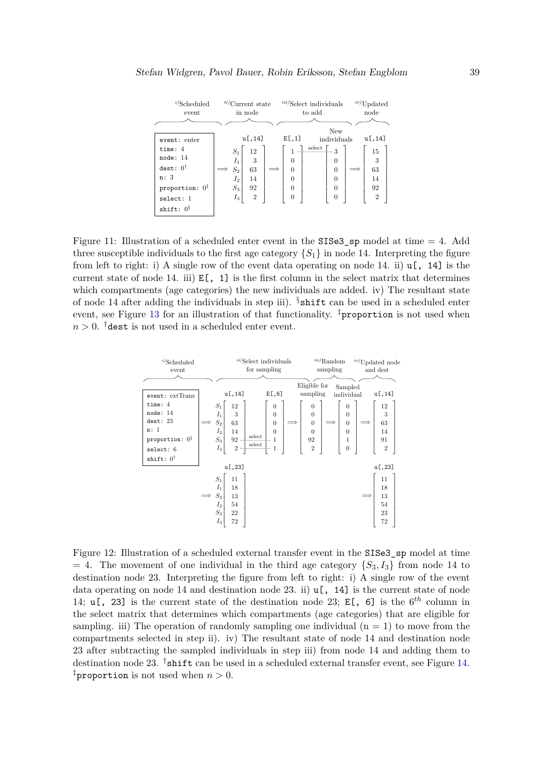<span id="page-38-0"></span>

| $^{i)}$ Scheduled          | $\prescript{ii)}$ Current state |                |  | $\it^{iii)}$ Select individuals |        |                |  | $^{iv)}$ Updated |  |  |
|----------------------------|---------------------------------|----------------|--|---------------------------------|--------|----------------|--|------------------|--|--|
| event                      |                                 | in node        |  |                                 | to add |                |  | node             |  |  |
|                            |                                 |                |  |                                 |        |                |  |                  |  |  |
|                            |                                 |                |  |                                 |        | New            |  |                  |  |  |
| event: enter               |                                 | u[,14]         |  | E[, 1]                          |        | individuals    |  | u[,14]           |  |  |
| time: $4$<br>node: 14      | $S_1$<br>$I_1$                  | 12<br>3        |  | 1<br>$\theta$                   | select | 3<br>$\Omega$  |  | 15<br>3          |  |  |
| $dest: 0\dagger$           | $S_2$                           | 63             |  | $\theta$                        |        | $\overline{0}$ |  | 63               |  |  |
| n: 3                       | $I_2$                           | 14             |  | 0                               |        | $\overline{0}$ |  | 14               |  |  |
| proportion: $0^{\ddagger}$ | $S_3$                           | 92             |  | $\theta$                        |        | $\overline{0}$ |  | 92               |  |  |
| select: 1                  | $I_3$                           | $\overline{2}$ |  | 0                               |        | 0              |  | $\overline{2}$   |  |  |
| shift: $0^{\S}$            |                                 |                |  |                                 |        |                |  |                  |  |  |

Figure 11: Illustration of a scheduled enter event in the SISe3\_sp model at time  $= 4$ . Add three susceptible individuals to the first age category  $\{S_1\}$  in node 14. Interpreting the figure from left to right: i) A single row of the event data operating on node 14. ii)  $\mathfrak{u}$ [, 14] is the current state of node 14. iii)  $E[$ , 1] is the first column in the select matrix that determines which compartments (age categories) the new individuals are added. iv) The resultant state of node 14 after adding the individuals in step iii).  $\S$  shift can be used in a scheduled enter event, see Figure [13](#page-39-0) for an illustration of that functionality.  $\frac{1}{4}$ proportion is not used when  $n > 0$ . <sup>†</sup>dest is not used in a scheduled enter event.

| $i$ )Scheduled             |                           | $\prescript{ii)}{\rm Select}$ individuals | $^{iii)}\mathrm{Random}$ | $\real^{iv)}$ Updated node         |
|----------------------------|---------------------------|-------------------------------------------|--------------------------|------------------------------------|
| event                      |                           | for sampling                              | sampling                 | and dest                           |
|                            |                           |                                           |                          |                                    |
|                            |                           |                                           | Eligible for             | Sampled                            |
| event: extTrans            | u[,14]                    | E[, 6]                                    | sampling                 | u[,14]<br>individual               |
| time: $4$                  | $S_1$<br>12               | $\overline{0}$                            | $\boldsymbol{0}$         | 12<br>$\overline{0}$               |
| node: 14                   | $I_1$<br>3                | $\theta$                                  | $\overline{0}$           | 3<br>$\overline{0}$                |
| dest: 23                   | $\mathcal{S}_2$<br>63     | $\theta$                                  | $\boldsymbol{0}$         | $\overline{0}$<br>63               |
| n:1                        | $I_2$<br>14               | $\overline{0}$                            | $\overline{0}$           | $\overline{0}$<br>14               |
| proportion: $0^{\ddagger}$ | $\mathcal{S}_3$<br>92     | select<br>1                               | 92                       | 91<br>1                            |
| select: 6                  | $\sqrt{2}$<br>$I_3$       | select<br>1                               | $\overline{2}$           | $\overline{2}$<br>$\boldsymbol{0}$ |
| shift: $0^{\dagger}$       |                           |                                           |                          |                                    |
|                            | u[,23]                    |                                           |                          | u[,23]                             |
|                            | $S_1$<br>11               |                                           |                          | 11                                 |
|                            | $I_1$<br>18               |                                           |                          | 18                                 |
|                            | $S_2$<br>13<br>$\implies$ |                                           |                          | 13                                 |
|                            | $I_2$<br>54               |                                           |                          | 54                                 |
|                            | $\mathcal{S}_3$<br>22     |                                           |                          | 23                                 |
|                            | $I_3$<br>$72\,$           |                                           |                          | 72                                 |

Figure 12: Illustration of a scheduled external transfer event in the SISe3\_sp model at time  $= 4$ . The movement of one individual in the third age category  $\{S_3, I_3\}$  from node 14 to destination node 23. Interpreting the figure from left to right: i) A single row of the event data operating on node 14 and destination node 23. ii)  $\mathfrak{u}$ [, 14] is the current state of node 14; u[, 23] is the current state of the destination node 23; E[, 6] is the 6*th* column in the select matrix that determines which compartments (age categories) that are eligible for sampling. iii) The operation of randomly sampling one individual  $(n = 1)$  to move from the compartments selected in step ii). iv) The resultant state of node 14 and destination node 23 after subtracting the sampled individuals in step iii) from node 14 and adding them to destination node 23. <sup>†</sup>shift can be used in a scheduled external transfer event, see Figure [14.](#page-39-0) <sup>‡</sup>proportion is not used when  $n > 0$ .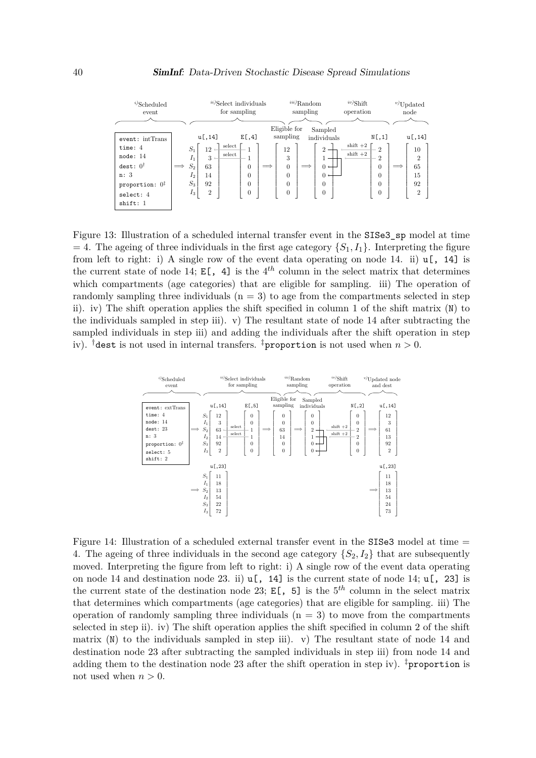<span id="page-39-0"></span>

| $^{i)}$ Scheduled<br>event                                                                                 | $i$ <sup>ii)</sup> Select individuals<br>for sampling                                                                                                                                                                     | $\prescript{iii)}\text{Random}$<br>sampling                                             | $^{iv)}$ Shift<br>operation                                                                                                                                                       | $v$ Updated<br>node                                                    |
|------------------------------------------------------------------------------------------------------------|---------------------------------------------------------------------------------------------------------------------------------------------------------------------------------------------------------------------------|-----------------------------------------------------------------------------------------|-----------------------------------------------------------------------------------------------------------------------------------------------------------------------------------|------------------------------------------------------------------------|
| event: intTrans                                                                                            | u[,14]<br>E[, 4]                                                                                                                                                                                                          | Eligible for<br>sampling                                                                | Sampled<br>N[, 1]<br>individuals                                                                                                                                                  | u[,14]                                                                 |
| time: $4$<br>node: 14<br>dest: $0^{\dagger}$<br>n:3<br>proportion: $0^{\ddagger}$<br>select: 4<br>shift: 1 | select<br>$S_1$<br>12<br>select<br>$I_1$<br>$3 \leftarrow$<br>1<br>$S_2$<br>$\overline{0}$<br>63<br>$\implies$<br>$\overline{0}$<br>14<br>I <sub>2</sub><br>$S_3$<br>92<br>$\overline{0}$<br>$I_3$<br>$\overline{2}$<br>0 | 12<br>3<br>$\overline{0}$<br>$\implies$<br>$\equiv$<br>$\Omega$<br>$\Omega$<br>$\theta$ | $shift +2$<br>2<br>$\overline{2}$<br>$shift +2$<br>2<br>$0 \leftarrow$<br>$\overline{0}$<br>$0 \leftarrow$<br>0<br>$\overline{0}$<br>$\Omega$<br>$\overline{0}$<br>$\overline{0}$ | 10<br>$\overline{2}$<br>65<br>$\implies$<br>15<br>92<br>$\overline{2}$ |

Figure 13: Illustration of a scheduled internal transfer event in the SISe3\_sp model at time  $= 4$ . The ageing of three individuals in the first age category  $\{S_1, I_1\}$ . Interpreting the figure from left to right: i) A single row of the event data operating on node 14. ii)  $\mathfrak{u}$ [, 14] is the current state of node 14;  $E[$ , 4] is the 4<sup>th</sup> column in the select matrix that determines which compartments (age categories) that are eligible for sampling. iii) The operation of randomly sampling three individuals  $(n = 3)$  to age from the compartments selected in step ii). iv) The shift operation applies the shift specified in column 1 of the shift matrix (N) to the individuals sampled in step iii). v) The resultant state of node 14 after subtracting the sampled individuals in step iii) and adding the individuals after the shift operation in step iv). <sup>†</sup>dest is not used in internal transfers. <sup>‡</sup>proportion is not used when  $n > 0$ .

| $^{i)}$ Scheduled<br>event                                                                                        |                                                                                                                                                                     | $\prescript{ii)}{\mathrm{Select}}$ individuals<br>for sampling                                   | $\prescript{iii)}{\text{Random}}$<br>sampling                                                                                                                                                      | $\sqrt[iv]{\text{Shift}}$<br>operation | $v$ Updated node<br>and dest                                                                                                                                  |
|-------------------------------------------------------------------------------------------------------------------|---------------------------------------------------------------------------------------------------------------------------------------------------------------------|--------------------------------------------------------------------------------------------------|----------------------------------------------------------------------------------------------------------------------------------------------------------------------------------------------------|----------------------------------------|---------------------------------------------------------------------------------------------------------------------------------------------------------------|
| event: extTrans<br>time: 4<br>node: 14<br>dest: 23<br>n: 3<br>proportion: $0^{\ddagger}$<br>select: 5<br>shift: 2 | u[,14]<br>$S_1$<br>12<br>3<br>$I_1$<br>select<br>$\mathcal{S}_2$<br>$63 -$<br>${\rm select}$<br>$I_2$<br>$14 \leftarrow$<br>$\mathcal{S}_3$<br>92<br>$I_3$<br>$\,2$ | E[, 5]<br>$\theta$<br>$\overline{0}$<br>$\mathbf{1}$<br>$\mathbf{1}$<br>$\theta$<br>$\mathbf{0}$ | Eligible for<br>Sampled<br>sampling<br>individuals<br>$\theta$<br>$\theta$<br>$\theta$<br>$\theta$<br>63<br>$\overline{2}$<br>14<br>$\theta$<br>$0 \leftarrow$<br>$\overline{0}$<br>$0 \leftarrow$ | $shift +2$<br>$shift +2$               | N[, 2]<br>u[,14]<br>12<br>$\theta$<br>$\theta$<br>3<br>$\overline{2}$<br>61<br>$\overline{2}$<br>13<br>$\overline{0}$<br>92<br>$\sqrt{2}$<br>$\boldsymbol{0}$ |
|                                                                                                                   | u[,23]<br>$S_1$<br>11<br>$I_1$<br>18<br>$\mathcal{S}_2$<br>13<br>$I_2$<br>54<br>$\mathcal{S}_3$<br>$22\,$<br>$I_3$<br>$72\,$                                        |                                                                                                  |                                                                                                                                                                                                    |                                        | u[,23]<br>11<br>18<br>13<br>=<br>54<br>24<br>$73\,$                                                                                                           |

Figure 14: Illustration of a scheduled external transfer event in the SISe3 model at time  $=$ 4. The ageing of three individuals in the second age category  $\{S_2, I_2\}$  that are subsequently moved. Interpreting the figure from left to right: i) A single row of the event data operating on node 14 and destination node 23. ii)  $\mathfrak{u}$ [, 14] is the current state of node 14;  $\mathfrak{u}$ [, 23] is the current state of the destination node 23;  $E[$ , 5] is the  $5<sup>th</sup>$  column in the select matrix that determines which compartments (age categories) that are eligible for sampling. iii) The operation of randomly sampling three individuals  $(n = 3)$  to move from the compartments selected in step ii). iv) The shift operation applies the shift specified in column 2 of the shift matrix  $(N)$  to the individuals sampled in step iii). v) The resultant state of node 14 and destination node 23 after subtracting the sampled individuals in step iii) from node 14 and adding them to the destination node 23 after the shift operation in step iv). <sup>‡</sup>proportion is not used when  $n > 0$ .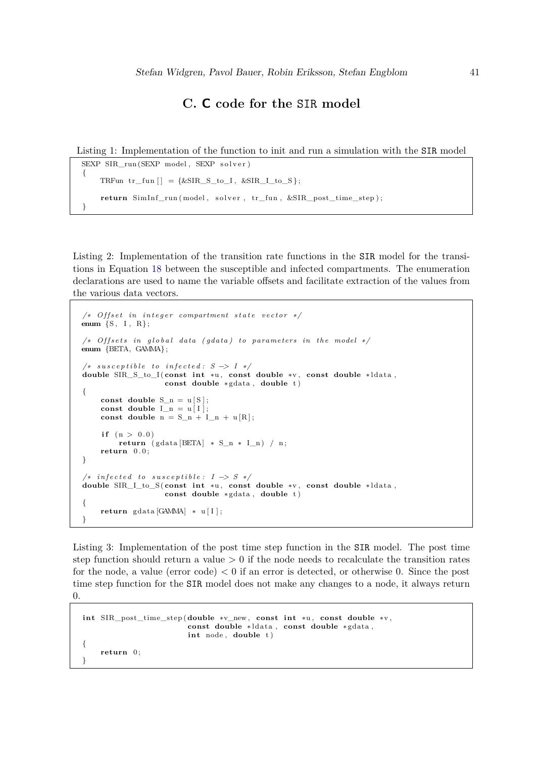# **C. C code for the** SIR **model**

<span id="page-40-1"></span><span id="page-40-0"></span>Listing 1: Implementation of the function to init and run a simulation with the SIR model

```
SEXP SIR_run (SEXP model, SEXP solver)
{
    TRFun tr_fun ] = {\&SIR_S_to_I, \&SIR_I_to_S};return SimInf_run (model, solver, tr_fun, &SIR_post_time_step);
}
```
<span id="page-40-2"></span>Listing 2: Implementation of the transition rate functions in the SIR model for the transitions in Equation [18](#page-14-1) between the susceptible and infected compartments. The enumeration declarations are used to name the variable offsets and facilitate extraction of the values from the various data vectors.

```
/∗ Offset in integer compartment state vector */
enum {S, I, R};
/* Offsets in global data (gdata) to parameters in the model */enum {BETA, GAMMA} ;
/* susceptible to infected: S −> I */
double SIR_S_to_I ( const int ∗u , const double ∗v , const double ∗ ldata ,
                    const double ∗ gdata , double t )
{
    const double S_n = u[S];
    const double I_n = u[I];
    const double n = S_n + I_n + u[R];
     if (n > 0.0)return ( gdata [BETA] ∗ S_n ∗ I_n ) / n ;
    return 0 . 0 ;
}
/∗ i n f e c t e d to s u s c e p t i b l e : I −> S ∗/
double SIR_I_to_S ( const int ∗u , const double ∗v , const double ∗ ldata ,
                    const double ∗ gdata , double t )
{
    return gdata [GAMMA] ∗ u [ I ] ;
}
```
<span id="page-40-3"></span>Listing 3: Implementation of the post time step function in the SIR model. The post time step function should return a value *>* 0 if the node needs to recalculate the transition rates for the node, a value (error code) *<* 0 if an error is detected, or otherwise 0. Since the post time step function for the SIR model does not make any changes to a node, it always return  $\Omega$ 

```
int SIR_post_time_step (double ∗v_new , const int ∗u , const double ∗v ,
                         const double ∗ ldata , const double ∗ gdata ,
                         int node, double t)
{
    return 0:
}
```